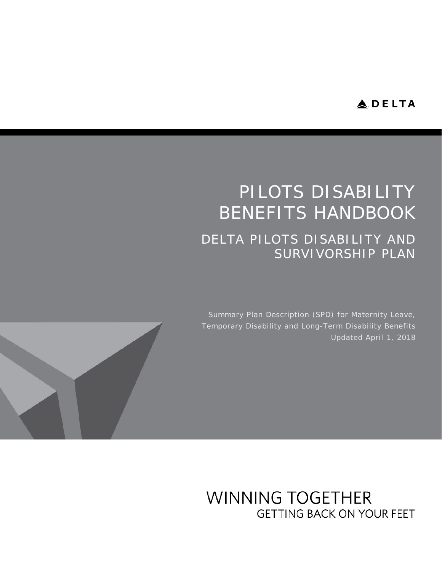## **ADELTA**

# PILOTS DISABILITY BENEFITS HANDBOOK DELTA PILOTS DISABILITY AND SURVIVORSHIP PLAN

Summary Plan Description (SPD) for Maternity Leave, Temporary Disability and Long-Term Disability Benefits Updated April 1, 2018



**WINNING TOGETHER GETTING BACK ON YOUR FEET**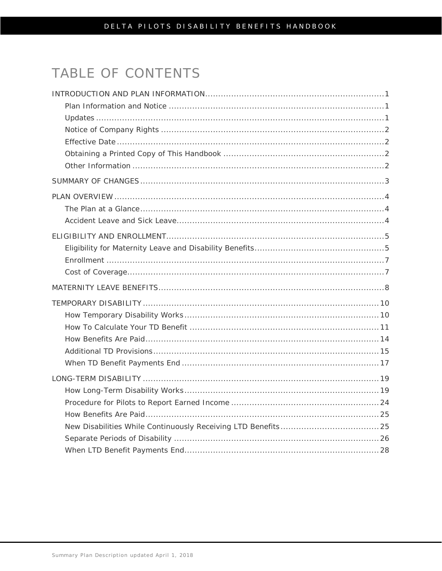# TABLE OF CONTENTS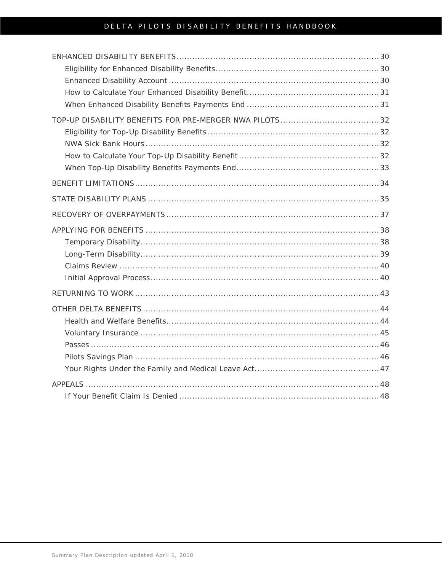### DELTA PILOTS DISABILITY BENEFITS HANDBOOK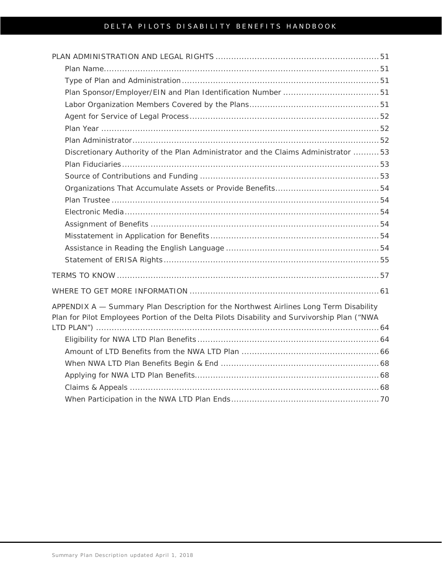### DELTA PILOTS DISABILITY BENEFITS HANDBOOK

| Discretionary Authority of the Plan Administrator and the Claims Administrator 53                                                                                                    |
|--------------------------------------------------------------------------------------------------------------------------------------------------------------------------------------|
|                                                                                                                                                                                      |
|                                                                                                                                                                                      |
|                                                                                                                                                                                      |
|                                                                                                                                                                                      |
|                                                                                                                                                                                      |
|                                                                                                                                                                                      |
|                                                                                                                                                                                      |
|                                                                                                                                                                                      |
|                                                                                                                                                                                      |
|                                                                                                                                                                                      |
|                                                                                                                                                                                      |
| APPENDIX A - Summary Plan Description for the Northwest Airlines Long Term Disability<br>Plan for Pilot Employees Portion of the Delta Pilots Disability and Survivorship Plan ("NWA |
|                                                                                                                                                                                      |
|                                                                                                                                                                                      |
|                                                                                                                                                                                      |
|                                                                                                                                                                                      |
|                                                                                                                                                                                      |
|                                                                                                                                                                                      |
|                                                                                                                                                                                      |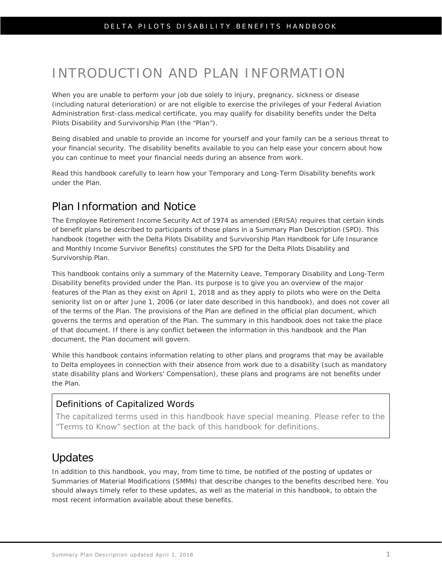# <span id="page-4-0"></span>INTRODUCTION AND PLAN INFORMATION

When you are unable to perform your job due solely to injury, pregnancy, sickness or disease (including natural deterioration) or are not eligible to exercise the privileges of your Federal Aviation Administration first-class medical certificate, you may qualify for disability benefits under the Delta Pilots Disability and Survivorship Plan (the "Plan").

Being disabled and unable to provide an income for yourself and your family can be a serious threat to your financial security. The disability benefits available to you can help ease your concern about how you can continue to meet your financial needs during an absence from work.

Read this handbook carefully to learn how your Temporary and Long-Term Disability benefits work under the Plan.

### <span id="page-4-1"></span>Plan Information and Notice

The Employee Retirement Income Security Act of 1974 as amended (ERISA) requires that certain kinds of benefit plans be described to participants of those plans in a Summary Plan Description (SPD). This handbook (together with the *Delta Pilots Disability and Survivorship Plan Handbook for Life Insurance and Monthly Income Survivor Benefits*) constitutes the SPD for the Delta Pilots Disability and Survivorship Plan.

This handbook contains only a summary of the Maternity Leave, Temporary Disability and Long-Term Disability benefits provided under the Plan. Its purpose is to give you an overview of the major features of the Plan as they exist on April 1, 2018 and as they apply to pilots who were on the Delta seniority list on or after June 1, 2006 (or later date described in this handbook), and does not cover all of the terms of the Plan. The provisions of the Plan are defined in the official plan document, which governs the terms and operation of the Plan. The summary in this handbook does not take the place of that document. If there is any conflict between the information in this handbook and the Plan document, the Plan document will govern.

While this handbook contains information relating to other plans and programs that may be available to Delta employees in connection with their absence from work due to a disability (such as mandatory state disability plans and Workers' Compensation), these plans and programs are not benefits under the Plan.

### Definitions of Capitalized Words

The capitalized terms used in this handbook have special meaning. Please refer to the "Terms to Know" section at the back of this handbook for definitions.

## <span id="page-4-2"></span>Updates

In addition to this handbook, you may, from time to time, be notified of the posting of updates or Summaries of Material Modifications (SMMs) that describe changes to the benefits described here. You should always timely refer to these updates, as well as the material in this handbook, to obtain the most recent information available about these benefits.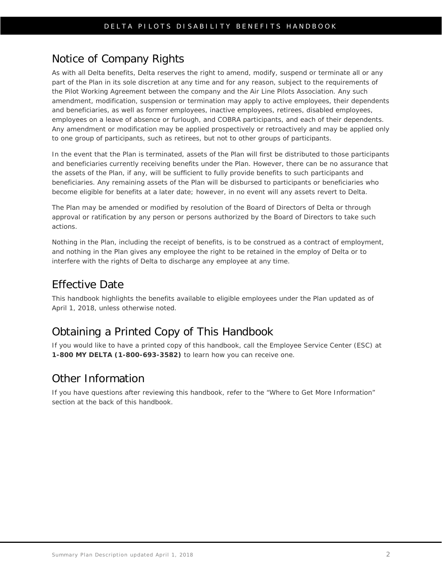## <span id="page-5-0"></span>Notice of Company Rights

As with all Delta benefits, Delta reserves the right to amend, modify, suspend or terminate all or any part of the Plan in its sole discretion at any time and for any reason, subject to the requirements of the Pilot Working Agreement between the company and the Air Line Pilots Association. Any such amendment, modification, suspension or termination may apply to active employees, their dependents and beneficiaries, as well as former employees, inactive employees, retirees, disabled employees, employees on a leave of absence or furlough, and COBRA participants, and each of their dependents. Any amendment or modification may be applied prospectively or retroactively and may be applied only to one group of participants, such as retirees, but not to other groups of participants.

In the event that the Plan is terminated, assets of the Plan will first be distributed to those participants and beneficiaries currently receiving benefits under the Plan. However, there can be no assurance that the assets of the Plan, if any, will be sufficient to fully provide benefits to such participants and beneficiaries. Any remaining assets of the Plan will be disbursed to participants or beneficiaries who become eligible for benefits at a later date; however, in no event will any assets revert to Delta.

The Plan may be amended or modified by resolution of the Board of Directors of Delta or through approval or ratification by any person or persons authorized by the Board of Directors to take such actions.

Nothing in the Plan, including the receipt of benefits, is to be construed as a contract of employment, and nothing in the Plan gives any employee the right to be retained in the employ of Delta or to interfere with the rights of Delta to discharge any employee at any time.

# <span id="page-5-1"></span>Effective Date

This handbook highlights the benefits available to eligible employees under the Plan updated as of April 1, 2018, unless otherwise noted.

# <span id="page-5-2"></span>Obtaining a Printed Copy of This Handbook

If you would like to have a printed copy of this handbook, call the Employee Service Center (ESC) at **1-800 MY DELTA (1-800-693-3582)** to learn how you can receive one.

## <span id="page-5-3"></span>Other Information

If you have questions after reviewing this handbook, refer to the "Where to Get More Information" section at the back of this handbook.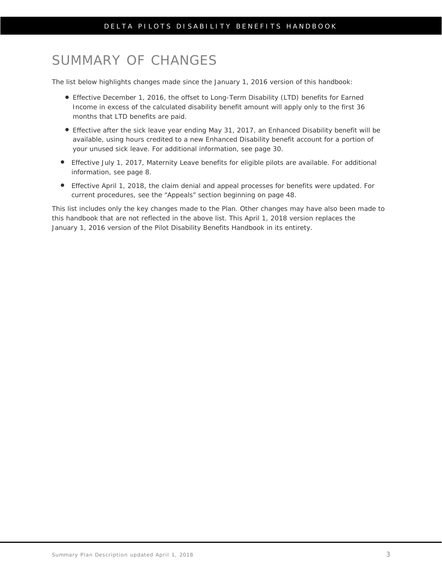# <span id="page-6-0"></span>SUMMARY OF CHANGES

The list below highlights changes made since the January 1, 2016 version of this handbook:

- Effective December 1, 2016, the offset to Long-Term Disability (LTD) benefits for Earned Income in excess of the calculated disability benefit amount will apply only to the first 36 months that LTD benefits are paid.
- Effective after the sick leave year ending May 31, 2017, an Enhanced Disability benefit will be available, using hours credited to a new Enhanced Disability benefit account for a portion of your unused sick leave. For additional information, see page 30.
- Effective July 1, 2017, Maternity Leave benefits for eligible pilots are available. For additional information, see page 8.
- Effective April 1, 2018, the claim denial and appeal processes for benefits were updated. For current procedures, see the "Appeals" section beginning on page 48.

This list includes only the key changes made to the Plan. Other changes may have also been made to this handbook that are not reflected in the above list. This April 1, 2018 version replaces the January 1, 2016 version of the Pilot Disability Benefits Handbook in its entirety.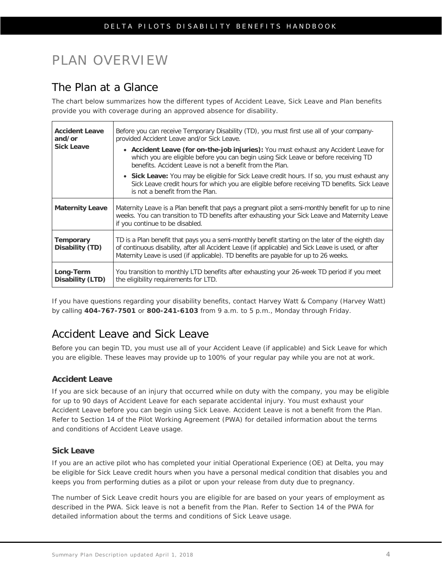# <span id="page-7-0"></span>PLAN OVERVIEW

## <span id="page-7-1"></span>The Plan at a Glance

The chart below summarizes how the different types of Accident Leave, Sick Leave and Plan benefits provide you with coverage during an approved absence for disability.

| <b>Accident Leave</b><br>and/or<br><b>Sick Leave</b> | Before you can receive Temporary Disability (TD), you must first use all of your company-<br>provided Accident Leave and/or Sick Leave.<br>• Accident Leave (for on-the-job injuries): You must exhaust any Accident Leave for<br>which you are eligible before you can begin using Sick Leave or before receiving TD<br>benefits. Accident Leave is not a benefit from the Plan.<br>• Sick Leave: You may be eligible for Sick Leave credit hours. If so, you must exhaust any<br>Sick Leave credit hours for which you are eligible before receiving TD benefits. Sick Leave<br>is not a benefit from the Plan. |
|------------------------------------------------------|-------------------------------------------------------------------------------------------------------------------------------------------------------------------------------------------------------------------------------------------------------------------------------------------------------------------------------------------------------------------------------------------------------------------------------------------------------------------------------------------------------------------------------------------------------------------------------------------------------------------|
| <b>Maternity Leave</b>                               | Maternity Leave is a Plan benefit that pays a pregnant pilot a semi-monthly benefit for up to nine<br>weeks. You can transition to TD benefits after exhausting your Sick Leave and Maternity Leave<br>if you continue to be disabled.                                                                                                                                                                                                                                                                                                                                                                            |
| <b>Temporary</b><br>Disability (TD)                  | TD is a Plan benefit that pays you a semi-monthly benefit starting on the later of the eighth day<br>of continuous disability, after all Accident Leave (if applicable) and Sick Leave is used, or after<br>Maternity Leave is used (if applicable). TD benefits are payable for up to 26 weeks.                                                                                                                                                                                                                                                                                                                  |
| Long-Term<br>Disability (LTD)                        | You transition to monthly LTD benefits after exhausting your 26-week TD period if you meet<br>the eligibility requirements for LTD.                                                                                                                                                                                                                                                                                                                                                                                                                                                                               |

If you have questions regarding your disability benefits, contact Harvey Watt & Company (Harvey Watt) by calling **404-767-7501** or **800-241-6103** from 9 a.m. to 5 p.m., Monday through Friday.

# <span id="page-7-2"></span>Accident Leave and Sick Leave

Before you can begin TD, you must use all of your Accident Leave (if applicable) and Sick Leave for which you are eligible. These leaves may provide up to 100% of your regular pay while you are not at work.

### **Accident Leave**

If you are sick because of an injury that occurred while on duty with the company, you may be eligible for up to 90 days of Accident Leave for each separate accidental injury. You must exhaust your Accident Leave before you can begin using Sick Leave. Accident Leave is not a benefit from the Plan. Refer to Section 14 of the Pilot Working Agreement (PWA) for detailed information about the terms and conditions of Accident Leave usage.

### **Sick Leave**

If you are an active pilot who has completed your initial Operational Experience (OE) at Delta, you may be eligible for Sick Leave credit hours when you have a personal medical condition that disables you and keeps you from performing duties as a pilot or upon your release from duty due to pregnancy.

The number of Sick Leave credit hours you are eligible for are based on your years of employment as described in the PWA. Sick leave is not a benefit from the Plan. Refer to Section 14 of the PWA for detailed information about the terms and conditions of Sick Leave usage.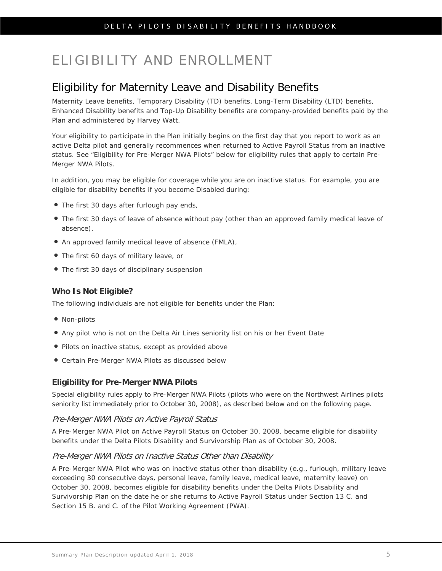# <span id="page-8-0"></span>ELIGIBILITY AND ENROLLMENT

# <span id="page-8-1"></span>Eligibility for Maternity Leave and Disability Benefits

Maternity Leave benefits, Temporary Disability (TD) benefits, Long-Term Disability (LTD) benefits, Enhanced Disability benefits and Top-Up Disability benefits are company-provided benefits paid by the Plan and administered by Harvey Watt.

Your eligibility to participate in the Plan initially begins on the first day that you report to work as an active Delta pilot and generally recommences when returned to Active Payroll Status from an inactive status. See "Eligibility for Pre-Merger NWA Pilots" below for eligibility rules that apply to certain Pre-Merger NWA Pilots.

In addition, you may be eligible for coverage while you are on inactive status. For example, you are eligible for disability benefits if you become Disabled during:

- The first 30 days after furlough pay ends,
- The first 30 days of leave of absence without pay (other than an approved family medical leave of absence),
- An approved family medical leave of absence (FMLA),
- The first 60 days of military leave, or
- The first 30 days of disciplinary suspension

### **Who Is Not Eligible?**

The following individuals are not eligible for benefits under the Plan:

- Non-pilots
- Any pilot who is not on the Delta Air Lines seniority list on his or her Event Date
- Pilots on inactive status, except as provided above
- Certain Pre-Merger NWA Pilots as discussed below

### **Eligibility for Pre-Merger NWA Pilots**

Special eligibility rules apply to Pre-Merger NWA Pilots (pilots who were on the Northwest Airlines pilots seniority list immediately prior to October 30, 2008), as described below and on the following page.

### Pre-Merger NWA Pilots on Active Payroll Status

A Pre-Merger NWA Pilot on Active Payroll Status on October 30, 2008, became eligible for disability benefits under the Delta Pilots Disability and Survivorship Plan as of October 30, 2008.

### Pre-Merger NWA Pilots on Inactive Status Other than Disability

A Pre-Merger NWA Pilot who was on inactive status other than disability (e.g., furlough, military leave exceeding 30 consecutive days, personal leave, family leave, medical leave, maternity leave) on October 30, 2008, becomes eligible for disability benefits under the Delta Pilots Disability and Survivorship Plan on the date he or she returns to Active Payroll Status under Section 13 C. and Section 15 B. and C. of the Pilot Working Agreement (PWA).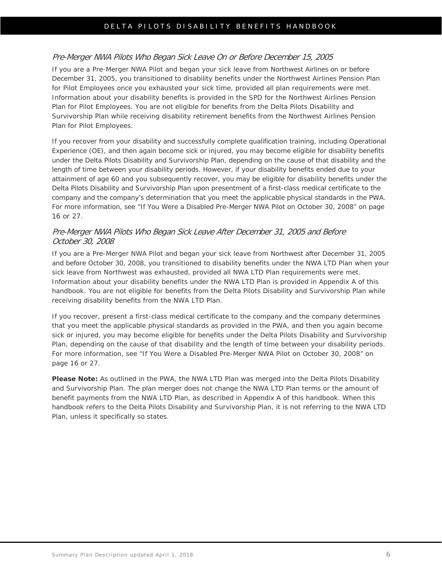### Pre-Merger NWA Pilots Who Began Sick Leave On or Before December 15, 2005

If you are a Pre-Merger NWA Pilot and began your sick leave from Northwest Airlines on or before December 31, 2005, you transitioned to disability benefits under the Northwest Airlines Pension Plan for Pilot Employees once you exhausted your sick time, provided all plan requirements were met. Information about your disability benefits is provided in the SPD for the Northwest Airlines Pension Plan for Pilot Employees. You are not eligible for benefits from the Delta Pilots Disability and Survivorship Plan while receiving disability retirement benefits from the Northwest Airlines Pension Plan for Pilot Employees.

If you recover from your disability and successfully complete qualification training, including Operational Experience (OE), and then again become sick or injured, you may become eligible for disability benefits under the Delta Pilots Disability and Survivorship Plan, depending on the cause of that disability and the length of time between your disability periods. However, if your disability benefits ended due to your attainment of age 60 and you subsequently recover, you may be eligible for disability benefits under the Delta Pilots Disability and Survivorship Plan upon presentment of a first-class medical certificate to the company and the company's determination that you meet the applicable physical standards in the PWA. For more information, see "If You Were a Disabled Pre-Merger NWA Pilot on October 30, 2008" on page 16 or 27.

### Pre-Merger NWA Pilots Who Began Sick Leave After December 31, 2005 and Before October 30, 2008

If you are a Pre-Merger NWA Pilot and began your sick leave from Northwest after December 31, 2005 and before October 30, 2008, you transitioned to disability benefits under the NWA LTD Plan when your sick leave from Northwest was exhausted, provided all NWA LTD Plan requirements were met. Information about your disability benefits under the NWA LTD Plan is provided in Appendix A of this handbook. You are not eligible for benefits from the Delta Pilots Disability and Survivorship Plan while receiving disability benefits from the NWA LTD Plan.

If you recover, present a first-class medical certificate to the company and the company determines that you meet the applicable physical standards as provided in the PWA, and then you again become sick or injured, you may become eligible for benefits under the Delta Pilots Disability and Survivorship Plan, depending on the cause of that disability and the length of time between your disability periods. For more information, see "If You Were a Disabled Pre-Merger NWA Pilot on October 30, 2008" on page 16 or 27.

**Please Note:** As outlined in the PWA, the NWA LTD Plan was merged into the Delta Pilots Disability and Survivorship Plan. The plan merger does not change the NWA LTD Plan terms or the amount of benefit payments from the NWA LTD Plan, as described in Appendix A of this handbook. When this handbook refers to the Delta Pilots Disability and Survivorship Plan, it is not referring to the NWA LTD Plan, unless it specifically so states.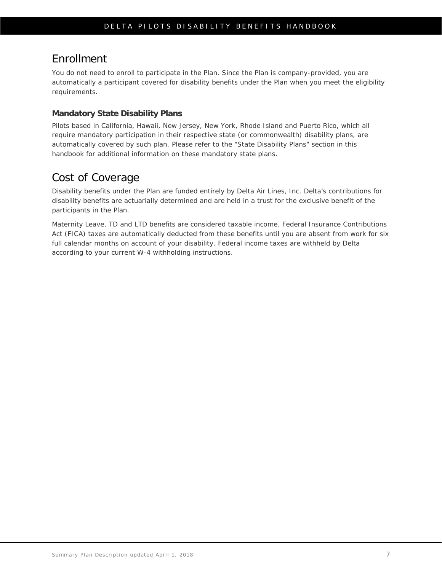# <span id="page-10-0"></span>Enrollment

You do not need to enroll to participate in the Plan. Since the Plan is company-provided, you are automatically a participant covered for disability benefits under the Plan when you meet the eligibility requirements.

### **Mandatory State Disability Plans**

Pilots based in California, Hawaii, New Jersey, New York, Rhode Island and Puerto Rico, which all require mandatory participation in their respective state (or commonwealth) disability plans, are automatically covered by such plan. Please refer to the ["State Disability Plans" section in this](#page-38-0)  [handbook](#page-38-0) for additional information on these mandatory state plans.

## <span id="page-10-1"></span>Cost of Coverage

Disability benefits under the Plan are funded entirely by Delta Air Lines, Inc. Delta's contributions for disability benefits are actuarially determined and are held in a trust for the exclusive benefit of the participants in the Plan.

Maternity Leave, TD and LTD benefits are considered taxable income. Federal Insurance Contributions Act (FICA) taxes are automatically deducted from these benefits until you are absent from work for six full calendar months on account of your disability. Federal income taxes are withheld by Delta according to your current W-4 withholding instructions.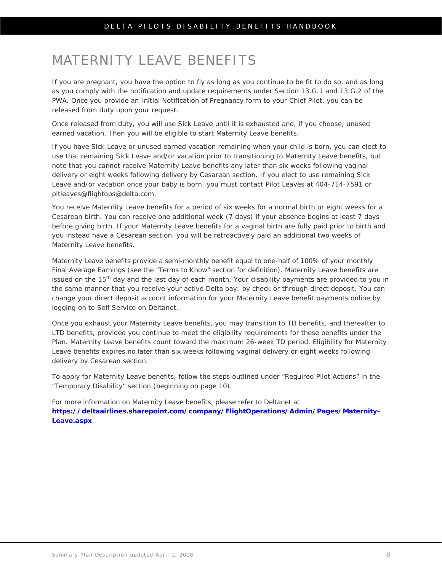# <span id="page-11-0"></span>MATERNITY LEAVE BENEFITS

If you are pregnant, you have the option to fly as long as you continue to be fit to do so, and as long as you comply with the notification and update requirements under Section 13.G.1 and 13.G.2 of the PWA. Once you provide an Initial Notification of Pregnancy form to your Chief Pilot, you can be released from duty upon your request.

Once released from duty, you will use Sick Leave until it is exhausted and, if you choose, unused earned vacation. Then you will be eligible to start Maternity Leave benefits.

If you have Sick Leave or unused earned vacation remaining when your child is born, you can elect to use that remaining Sick Leave and/or vacation prior to transitioning to Maternity Leave benefits, but note that you cannot receive Maternity Leave benefits any later than six weeks following vaginal delivery or eight weeks following delivery by Cesarean section. If you elect to use remaining Sick Leave and/or vacation once your baby is born, you must contact Pilot Leaves at 404-714-7591 or pltleaves@flightops@delta.com.

You receive Maternity Leave benefits for a period of six weeks for a normal birth or eight weeks for a Cesarean birth. You can receive one additional week (7 days) if your absence begins at least 7 days before giving birth. If your Maternity Leave benefits for a vaginal birth are fully paid prior to birth and you instead have a Cesarean section, you will be retroactively paid an additional two weeks of Maternity Leave benefits.

Maternity Leave benefits provide a semi-monthly benefit equal to one-half of 100% of your monthly Final Average Earnings (see the "Terms to Know" section for definition). Maternity Leave benefits are issued on the 15<sup>th</sup> day and the last day of each month. Your disability payments are provided to you in the same manner that you receive your active Delta pay: by check or through direct deposit. You can change your direct deposit account information for your Maternity Leave benefit payments online by logging on to Self Service on Deltanet.

Once you exhaust your Maternity Leave benefits, you may transition to TD benefits, and thereafter to LTD benefits, provided you continue to meet the eligibility requirements for these benefits under the Plan. Maternity Leave benefits count toward the maximum 26-week TD period. Eligibility for Maternity Leave benefits expires no later than six weeks following vaginal delivery or eight weeks following delivery by Cesarean section.

To apply for Maternity Leave benefits, follow the steps outlined under "Required Pilot Actions" in the "Temporary Disability" section (beginning on page 10).

For more information on Maternity Leave benefits, please refer to Deltanet at **[https://deltaairlines.sharepoint.com/company/FlightOperations/Admin/Pages/Maternity-](https://deltaairlines.sharepoint.com/company/FlightOperations/Admin/Pages/Maternity-Leave.aspx)[Leave.aspx](https://deltaairlines.sharepoint.com/company/FlightOperations/Admin/Pages/Maternity-Leave.aspx)**.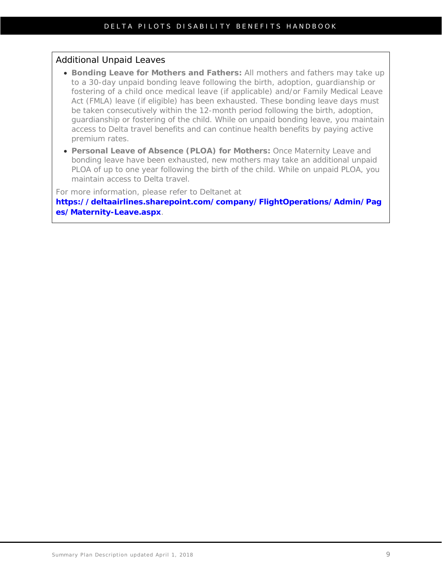### Additional Unpaid Leaves

- **Bonding Leave for Mothers and Fathers:** All mothers and fathers may take up to a 30-day unpaid bonding leave following the birth, adoption, guardianship or fostering of a child once medical leave (if applicable) and/or Family Medical Leave Act (FMLA) leave (if eligible) has been exhausted. These bonding leave days must be taken consecutively within the 12-month period following the birth, adoption, guardianship or fostering of the child. While on unpaid bonding leave, you maintain access to Delta travel benefits and can continue health benefits by paying active premium rates.
- **Personal Leave of Absence (PLOA) for Mothers:** Once Maternity Leave and bonding leave have been exhausted, new mothers may take an additional unpaid PLOA of up to one year following the birth of the child. While on unpaid PLOA, you maintain access to Delta travel.

For more information, please refer to Deltanet at

**[https://deltaairlines.sharepoint.com/company/FlightOperations/Admin/Pag](https://deltaairlines.sharepoint.com/company/FlightOperations/Admin/Pages/Maternity-Leave.aspx) [es/Maternity-Leave.aspx](https://deltaairlines.sharepoint.com/company/FlightOperations/Admin/Pages/Maternity-Leave.aspx)**.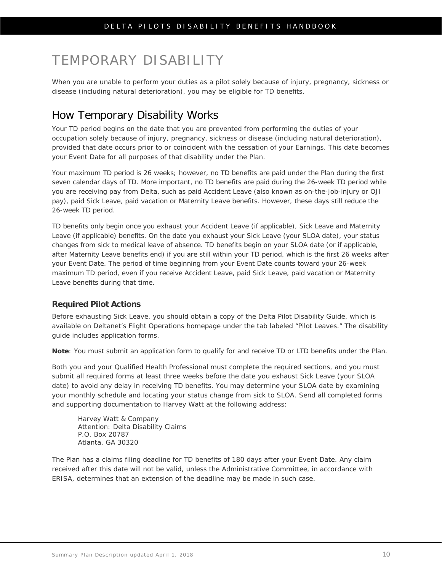# <span id="page-13-0"></span>TEMPORARY DISABILITY

When you are unable to perform your duties as a pilot solely because of injury, pregnancy, sickness or disease (including natural deterioration), you may be eligible for TD benefits.

# <span id="page-13-1"></span>How Temporary Disability Works

Your TD period begins on the date that you are prevented from performing the duties of your occupation solely because of injury, pregnancy, sickness or disease (including natural deterioration), provided that date occurs prior to or coincident with the cessation of your Earnings. This date becomes your Event Date for all purposes of that disability under the Plan.

Your maximum TD period is 26 weeks; however, no TD benefits are paid under the Plan during the first seven calendar days of TD. More important, no TD benefits are paid during the 26-week TD period while you are receiving pay from Delta, such as paid Accident Leave (also known as on-the-job-injury or OJI pay), paid Sick Leave, paid vacation or Maternity Leave benefits. However, these days still reduce the 26-week TD period.

TD benefits only begin once you exhaust your Accident Leave (if applicable), Sick Leave and Maternity Leave (if applicable) benefits. On the date you exhaust your Sick Leave (your SLOA date), your status changes from sick to medical leave of absence. TD benefits begin on your SLOA date (or if applicable, after Maternity Leave benefits end) if you are still within your TD period, which is the first 26 weeks after your Event Date. The period of time beginning from your Event Date counts toward your 26-week maximum TD period, even if you receive Accident Leave, paid Sick Leave, paid vacation or Maternity Leave benefits during that time.

### **Required Pilot Actions**

Before exhausting Sick Leave, you should obtain a copy of the Delta Pilot Disability Guide, which is available on Deltanet's Flight Operations homepage under the tab labeled "Pilot Leaves." The disability guide includes application forms.

**Note**: You must submit an application form to qualify for and receive TD or LTD benefits under the Plan.

Both you and your Qualified Health Professional must complete the required sections, and you must submit all required forms at least three weeks before the date you exhaust Sick Leave (your SLOA date) to avoid any delay in receiving TD benefits. You may determine your SLOA date by examining your monthly schedule and locating your status change from sick to SLOA. Send all completed forms and supporting documentation to Harvey Watt at the following address:

Harvey Watt & Company Attention: Delta Disability Claims P.O. Box 20787 Atlanta, GA 30320

The Plan has a claims filing deadline for TD benefits of 180 days after your Event Date. Any claim received after this date will not be valid, unless the Administrative Committee, in accordance with ERISA, determines that an extension of the deadline may be made in such case.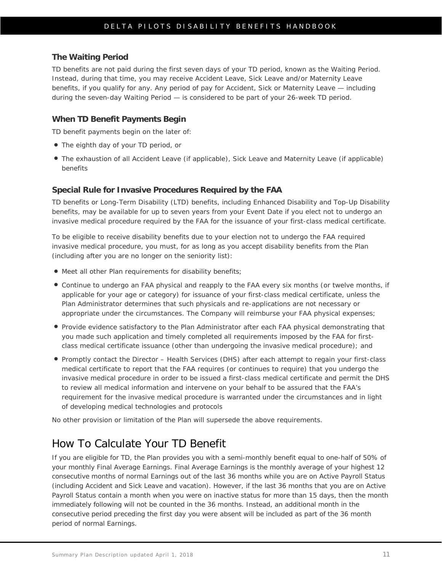#### **The Waiting Period**

TD benefits are not paid during the first seven days of your TD period, known as the Waiting Period. Instead, during that time, you may receive Accident Leave, Sick Leave and/or Maternity Leave benefits, if you qualify for any. Any period of pay for Accident, Sick or Maternity Leave — including during the seven-day Waiting Period — is considered to be part of your 26-week TD period.

#### **When TD Benefit Payments Begin**

TD benefit payments begin on the later of:

- The eighth day of your TD period, or
- The exhaustion of all Accident Leave (if applicable), Sick Leave and Maternity Leave (if applicable) benefits

#### **Special Rule for Invasive Procedures Required by the FAA**

TD benefits or Long-Term Disability (LTD) benefits, including Enhanced Disability and Top-Up Disability benefits, may be available for up to seven years from your Event Date if you elect not to undergo an invasive medical procedure required by the FAA for the issuance of your first-class medical certificate.

To be eligible to receive disability benefits due to your election not to undergo the FAA required invasive medical procedure, you must, for as long as you accept disability benefits from the Plan (including after you are no longer on the seniority list):

- Meet all other Plan requirements for disability benefits;
- Continue to undergo an FAA physical and reapply to the FAA every six months (or twelve months, if applicable for your age or category) for issuance of your first-class medical certificate, unless the Plan Administrator determines that such physicals and re-applications are not necessary or appropriate under the circumstances. The Company will reimburse your FAA physical expenses;
- Provide evidence satisfactory to the Plan Administrator after each FAA physical demonstrating that you made such application and timely completed all requirements imposed by the FAA for firstclass medical certificate issuance (other than undergoing the invasive medical procedure); and
- Promptly contact the Director Health Services (DHS) after each attempt to regain your first-class medical certificate to report that the FAA requires (or continues to require) that you undergo the invasive medical procedure in order to be issued a first-class medical certificate and permit the DHS to review all medical information and intervene on your behalf to be assured that the FAA's requirement for the invasive medical procedure is warranted under the circumstances and in light of developing medical technologies and protocols

No other provision or limitation of the Plan will supersede the above requirements.

### <span id="page-14-0"></span>How To Calculate Your TD Benefit

If you are eligible for TD, the Plan provides you with a semi-monthly benefit equal to one-half of 50% of your monthly Final Average Earnings. Final Average Earnings is the monthly average of your highest 12 consecutive months of normal Earnings out of the last 36 months while you are on Active Payroll Status (including Accident and Sick Leave and vacation). However, if the last 36 months that you are on Active Payroll Status contain a month when you were on inactive status for more than 15 days, then the month immediately following will not be counted in the 36 months. Instead, an additional month in the consecutive period preceding the first day you were absent will be included as part of the 36 month period of normal Earnings.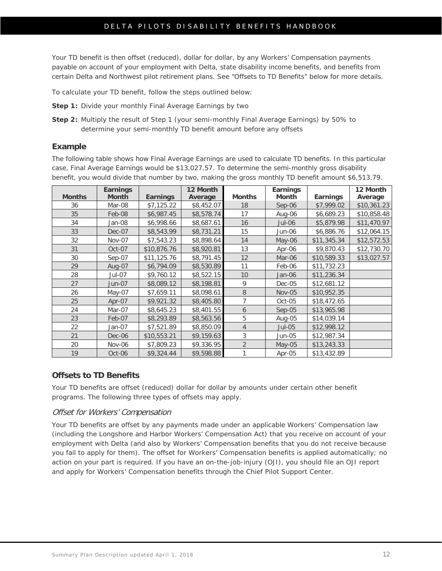### DELTA PILOTS DISABILITY BENEFITS HANDBOOK

Your TD benefit is then offset (reduced), dollar for dollar, by any Workers' Compensation payments payable on account of your employment with Delta, state disability income benefits, and benefits from certain Delta and Northwest pilot retirement plans. See "Offsets to TD Benefits" below for more details.

To calculate your TD benefit, follow the steps outlined below:

- **Step 1:** Divide your monthly Final Average Earnings by two
- **Step 2:** Multiply the result of Step 1 (your semi-monthly Final Average Earnings) by 50% to determine your semi-monthly TD benefit amount before any offsets

### **Example**

The following table shows how Final Average Earnings are used to calculate TD benefits. In this particular case, Final Average Earnings would be \$13,027.57. To determine the semi-monthly gross disability benefit, you would divide that number by two, making the gross monthly TD benefit amount \$6,513.79.

| <b>Months</b> | <b>Earnings</b><br><b>Month</b> | <b>Earnings</b> | 12 Month   | <b>Months</b>  | <b>Earnings</b><br><b>Month</b> | <b>Earnings</b> | 12 Month    |
|---------------|---------------------------------|-----------------|------------|----------------|---------------------------------|-----------------|-------------|
|               |                                 |                 | Average    |                |                                 |                 | Average     |
| 36            | Mar-08                          | \$7,125.22      | \$8,452.07 | 18             | $Sep-06$                        | \$7,999.02      | \$10,361.23 |
| 35            | Feb-08                          | \$6,987.45      | \$8,578.74 | 17             | Aug-06                          | \$6,689.23      | \$10,858.48 |
| 34            | Jan-08                          | \$6,998.66      | \$8,687.61 | 16             | Jul-06                          | \$5,879.98      | \$11,470.97 |
| 33            | Dec-07                          | \$8,543.99      | \$8,731.21 | 15             | Jun-06                          | \$6,886.76      | \$12,064.15 |
| 32            | <b>Nov-07</b>                   | \$7,543.23      | \$8,898.64 | 14             | May-06                          | \$11,345.34     | \$12,572.53 |
| 31            | Oct-07                          | \$10,876.76     | \$8,920.81 | 13             | Apr-06                          | \$9,870.43      | \$12,730.70 |
| 30            | $Sep-07$                        | \$11,125.76     | \$8,791.45 | 12             | Mar-06                          | \$10,589.33     | \$13,027.57 |
| 29            | Aug-07                          | \$6,794.09      | \$8,530.89 | 11             | Feb-06                          | \$11,732.23     |             |
| 28            | Jul-07                          | \$9,760.12      | \$8,522.15 | 10             | Jan-06                          | \$11,236.34     |             |
| 27            | <b>Jun-07</b>                   | \$8,089.12      | \$8,198.81 | 9              | Dec-05                          | \$12,681.12     |             |
| 26            | May-07                          | \$7,659.11      | \$8,098.61 | 8              | <b>Nov-05</b>                   | \$10,952.35     |             |
| 25            | Apr-07                          | \$9,921.32      | \$8,405.80 | 7              | Oct-05                          | \$18,472.65     |             |
| 24            | Mar-07                          | \$8,645.23      | \$8,401.55 | 6              | $Sep-05$                        | \$13,965.98     |             |
| 23            | Feb-07                          | \$8,293.89      | \$8,563.56 | 5              | Aug-05                          | \$14,039.14     |             |
| 22            | Jan-07                          | \$7,521.89      | \$8,850.09 | $\overline{4}$ | $Jul-05$                        | \$12,998.12     |             |
| 21            | Dec-06                          | \$10,553.21     | \$9,159.63 | 3              | <b>Jun-05</b>                   | \$12,987.34     |             |
| 20            | <b>Nov-06</b>                   | \$7,809.23      | \$9,336.95 | $\overline{2}$ | May-05                          | \$13,243.33     |             |
| 19            | Oct-06                          | \$9,324.44      | \$9,598.88 | 1              | Apr-05                          | \$13,432.89     |             |

### **Offsets to TD Benefits**

Your TD benefits are offset (reduced) dollar for dollar by amounts under certain other benefit programs. The following three types of offsets may apply.

### Offset for Workers' Compensation

Your TD benefits are offset by any payments made under an applicable Workers' Compensation law (including the Longshore and Harbor Workers' Compensation Act) that you receive on account of your employment with Delta (and also by Workers' Compensation benefits that you do not receive because you fail to apply for them). The offset for Workers' Compensation benefits is applied automatically; no action on your part is required. If you have an on-the-job-injury (OJI), you should file an OJI report and apply for Workers' Compensation benefits through the Chief Pilot Support Center.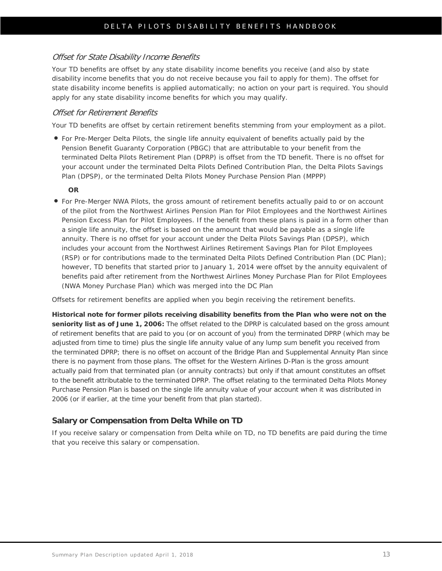### Offset for State Disability Income Benefits

Your TD benefits are offset by any state disability income benefits you receive (and also by state disability income benefits that you do not receive because you fail to apply for them). The offset for state disability income benefits is applied automatically; no action on your part is required. You should apply for any state disability income benefits for which you may qualify.

### Offset for Retirement Benefits

Your TD benefits are offset by certain retirement benefits stemming from your employment as a pilot.

 For Pre-Merger Delta Pilots, the single life annuity equivalent of benefits actually paid by the Pension Benefit Guaranty Corporation (PBGC) that are attributable to your benefit from the terminated Delta Pilots Retirement Plan (DPRP) is offset from the TD benefit. There is no offset for your account under the terminated Delta Pilots Defined Contribution Plan, the Delta Pilots Savings Plan (DPSP), or the terminated Delta Pilots Money Purchase Pension Plan (MPPP)

#### **OR**

 For Pre-Merger NWA Pilots, the gross amount of retirement benefits actually paid to or on account of the pilot from the Northwest Airlines Pension Plan for Pilot Employees and the Northwest Airlines Pension Excess Plan for Pilot Employees. If the benefit from these plans is paid in a form other than a single life annuity, the offset is based on the amount that would be payable as a single life annuity. There is no offset for your account under the Delta Pilots Savings Plan (DPSP), which includes your account from the Northwest Airlines Retirement Savings Plan for Pilot Employees (RSP) or for contributions made to the terminated Delta Pilots Defined Contribution Plan (DC Plan); however, TD benefits that started prior to January 1, 2014 were offset by the annuity equivalent of benefits paid after retirement from the Northwest Airlines Money Purchase Plan for Pilot Employees (NWA Money Purchase Plan) which was merged into the DC Plan

Offsets for retirement benefits are applied when you begin receiving the retirement benefits.

**Historical note for former pilots receiving disability benefits from the Plan who were not on the seniority list as of June 1, 2006:** The offset related to the DPRP is calculated based on the gross amount of retirement benefits that are paid to you (or on account of you) from the terminated DPRP (which may be adjusted from time to time) plus the single life annuity value of any lump sum benefit you received from the terminated DPRP; there is no offset on account of the Bridge Plan and Supplemental Annuity Plan since there is no payment from those plans. The offset for the Western Airlines D-Plan is the gross amount actually paid from that terminated plan (or annuity contracts) but only if that amount constitutes an offset to the benefit attributable to the terminated DPRP. The offset relating to the terminated Delta Pilots Money Purchase Pension Plan is based on the single life annuity value of your account when it was distributed in 2006 (or if earlier, at the time your benefit from that plan started).

### **Salary or Compensation from Delta While on TD**

If you receive salary or compensation from Delta while on TD, no TD benefits are paid during the time that you receive this salary or compensation.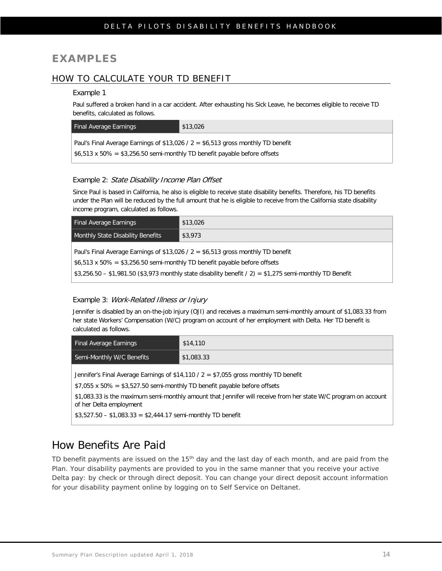### **EXAMPLES**

### HOW TO CALCULATE YOUR TD BENEFIT

#### Example 1

Paul suffered a broken hand in a car accident. After exhausting his Sick Leave, he becomes eligible to receive TD benefits, calculated as follows.

| Final Average Earnings                                                                  | \$13,026 |  |
|-----------------------------------------------------------------------------------------|----------|--|
| Paul's Final Average Earnings of \$13,026 / $2 = $6,513$ gross monthly TD benefit       |          |  |
| $\frac{1}{2}$ \$6,513 x 50% = \$3,256.50 semi-monthly TD benefit payable before offsets |          |  |

#### Example 2: State Disability Income Plan Offset

Since Paul is based in California, he also is eligible to receive state disability benefits. Therefore, his TD benefits under the Plan will be reduced by the full amount that he is eligible to receive from the California state disability income program, calculated as follows.

| <b>Final Average Earnings</b>                                                                                   | \$13,026 |  |
|-----------------------------------------------------------------------------------------------------------------|----------|--|
| <b>Monthly State Disability Benefits</b>                                                                        | \$3,973  |  |
| Paul's Final Average Earnings of \$13,026 / $2 = $6,513$ gross monthly TD benefit                               |          |  |
| \$6,513 x 50% = \$3,256.50 semi-monthly TD benefit payable before offsets                                       |          |  |
| $\mid$ \$3,256.50 - \$1,981.50 (\$3,973 monthly state disability benefit / 2) = \$1,275 semi-monthly TD Benefit |          |  |

### Example 3: Work-Related Illness or Injury

Jennifer is disabled by an on-the-job injury (OJI) and receives a maximum semi-monthly amount of \$1,083.33 from her state Workers' Compensation (W/C) program on account of her employment with Delta. Her TD benefit is calculated as follows.

| <b>Final Average Earnings</b>                                                                                                                                            | \$14,110   |  |
|--------------------------------------------------------------------------------------------------------------------------------------------------------------------------|------------|--|
| Semi-Monthly W/C Benefits                                                                                                                                                | \$1,083.33 |  |
| Jennifer's Final Average Earnings of \$14,110 / $2 = $7,055$ gross monthly TD benefit<br>$$7,055 \times 50\% = $3,527.50$ semi-monthly TD benefit payable before offsets |            |  |

\$1,083.33 is the maximum semi-monthly amount that Jennifer will receive from her state W/C program on account of her Delta employment

 $$3,527.50 - $1,083.33 = $2,444.17$  semi-monthly TD benefit

## <span id="page-17-0"></span>How Benefits Are Paid

TD benefit payments are issued on the 15<sup>th</sup> day and the last day of each month, and are paid from the Plan. Your disability payments are provided to you in the same manner that you receive your active Delta pay: by check or through direct deposit. You can change your direct deposit account information for your disability payment online by logging on to Self Service on Deltanet.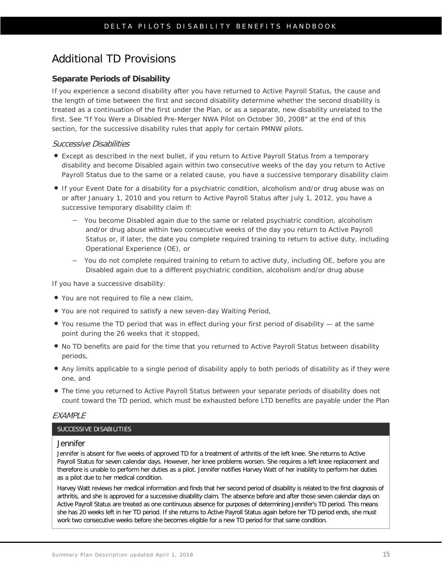# <span id="page-18-0"></span>Additional TD Provisions

### **Separate Periods of Disability**

If you experience a second disability after you have returned to Active Payroll Status, the cause and the length of time between the first and second disability determine whether the second disability is treated as a continuation of the first under the Plan, or as a separate, new disability unrelated to the first. See "If You Were a Disabled Pre-Merger NWA Pilot on October 30, 2008" at the end of this section, for the successive disability rules that apply for certain PMNW pilots.

#### Successive Disabilities

- Except as described in the next bullet, if you return to Active Payroll Status from a temporary disability and become Disabled again within two consecutive weeks of the day you return to Active Payroll Status due to the same or a related cause, you have a successive temporary disability claim
- If your Event Date for a disability for a psychiatric condition, alcoholism and/or drug abuse was on or after January 1, 2010 and you return to Active Payroll Status after July 1, 2012, you have a successive temporary disability claim if:
	- You become Disabled again due to the same or related psychiatric condition, alcoholism and/or drug abuse within two consecutive weeks of the day you return to Active Payroll Status or, if later, the date you complete required training to return to active duty, including Operational Experience (OE), or
	- You do not complete required training to return to active duty, including OE, before you are Disabled again due to a different psychiatric condition, alcoholism and/or drug abuse

If you have a successive disability:

- You are not required to file a new claim,
- You are not required to satisfy a new seven-day Waiting Period,
- You resume the TD period that was in effect during your first period of disability at the same point during the 26 weeks that it stopped,
- No TD benefits are paid for the time that you returned to Active Payroll Status between disability periods,
- Any limits applicable to a single period of disability apply to both periods of disability as if they were one, and
- The time you returned to Active Payroll Status between your separate periods of disability does not count toward the TD period, which must be exhausted before LTD benefits are payable under the Plan

#### **FXAMPIF**

#### SUCCESSIVE DISABILITIES

#### Jennifer

Jennifer is absent for five weeks of approved TD for a treatment of arthritis of the left knee. She returns to Active Payroll Status for seven calendar days. However, her knee problems worsen. She requires a left knee replacement and therefore is unable to perform her duties as a pilot. Jennifer notifies Harvey Watt of her inability to perform her duties as a pilot due to her medical condition.

Harvey Watt reviews her medical information and finds that her second period of disability is related to the first diagnosis of arthritis, and she is approved for a successive disability claim. The absence before and after those seven calendar days on Active Payroll Status are treated as one continuous absence for purposes of determining Jennifer's TD period. This means she has 20 weeks left in her TD period. If she returns to Active Payroll Status again before her TD period ends, she must work two consecutive weeks before she becomes eligible for a new TD period for that same condition.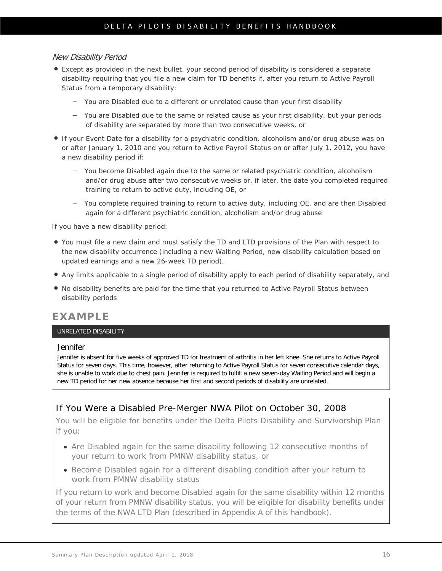#### New Disability Period

- Except as provided in the next bullet, your second period of disability is considered a separate disability requiring that you file a new claim for TD benefits if, after you return to Active Payroll Status from a temporary disability:
	- You are Disabled due to a different or unrelated cause than your first disability
	- You are Disabled due to the same or related cause as your first disability, but your periods of disability are separated by more than two consecutive weeks, or
- If your Event Date for a disability for a psychiatric condition, alcoholism and/or drug abuse was on or after January 1, 2010 and you return to Active Payroll Status on or after July 1, 2012, you have a new disability period if:
	- You become Disabled again due to the same or related psychiatric condition, alcoholism and/or drug abuse after two consecutive weeks or, if later, the date you completed required training to return to active duty, including OE, or
	- You complete required training to return to active duty, including OE, and are then Disabled again for a different psychiatric condition, alcoholism and/or drug abuse

If you have a new disability period:

- You must file a new claim and must satisfy the TD and LTD provisions of the Plan with respect to the new disability occurrence (including a new Waiting Period, new disability calculation based on updated earnings and a new 26-week TD period),
- Any limits applicable to a single period of disability apply to each period of disability separately, and
- No disability benefits are paid for the time that you returned to Active Payroll Status between disability periods

### **EXAMPLE**

#### UNRELATED DISABILITY

#### Jennifer

Jennifer is absent for five weeks of approved TD for treatment of arthritis in her left knee. She returns to Active Payroll Status for seven days. This time, however, after returning to Active Payroll Status for seven consecutive calendar days, she is unable to work due to chest pain. Jennifer is required to fulfill a new seven-day Waiting Period and will begin a new TD period for her new absence because her first and second periods of disability are unrelated.

### If You Were a Disabled Pre-Merger NWA Pilot on October 30, 2008

You will be eligible for benefits under the Delta Pilots Disability and Survivorship Plan if you:

- Are Disabled again for the same disability following 12 consecutive months of your return to work from PMNW disability status, or
- Become Disabled again for a different disabling condition after your return to work from PMNW disability status

If you return to work and become Disabled again for the same disability within 12 months of your return from PMNW disability status, you will be eligible for disability benefits under the terms of the NWA LTD Plan (described in Appendix A of this handbook).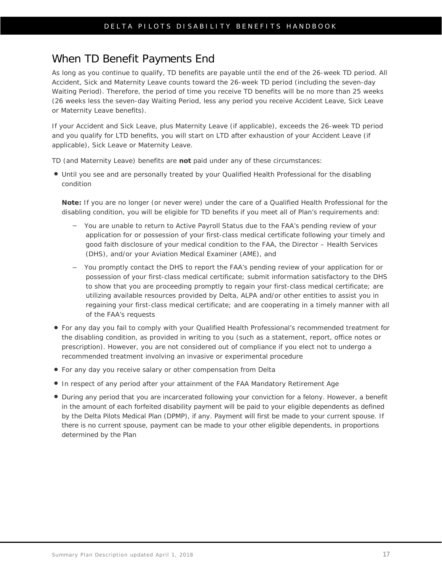## <span id="page-20-0"></span>When TD Benefit Payments End

As long as you continue to qualify, TD benefits are payable until the end of the 26-week TD period. All Accident, Sick and Maternity Leave counts toward the 26-week TD period (including the seven-day Waiting Period). Therefore, the period of time you receive TD benefits will be *no more than* 25 weeks (26 weeks less the seven-day Waiting Period, less any period you receive Accident Leave, Sick Leave or Maternity Leave benefits).

If your Accident and Sick Leave, plus Maternity Leave (if applicable), exceeds the 26-week TD period and you qualify for LTD benefits, you will start on LTD after exhaustion of your Accident Leave (if applicable), Sick Leave or Maternity Leave.

TD (and Maternity Leave) benefits are *not* paid under any of these circumstances:

 Until you see and are personally treated by your Qualified Health Professional for the disabling condition

**Note:** If you are no longer (or never were) under the care of a Qualified Health Professional for the disabling condition, you will be eligible for TD benefits if you meet all of Plan's requirements and:

- You are unable to return to Active Payroll Status due to the FAA's pending review of your application for or possession of your first-class medical certificate following your timely and good faith disclosure of your medical condition to the FAA, the Director – Health Services (DHS), and/or your Aviation Medical Examiner (AME), and
- You promptly contact the DHS to report the FAA's pending review of your application for or possession of your first-class medical certificate; submit information satisfactory to the DHS to show that you are proceeding promptly to regain your first-class medical certificate; are utilizing available resources provided by Delta, ALPA and/or other entities to assist you in regaining your first-class medical certificate; and are cooperating in a timely manner with all of the FAA's requests
- For any day you fail to comply with your Qualified Health Professional's recommended treatment for the disabling condition, as provided in writing to you (such as a statement, report, office notes or prescription). However, you are not considered out of compliance if you elect not to undergo a recommended treatment involving an invasive or experimental procedure
- For any day you receive salary or other compensation from Delta
- In respect of any period after your attainment of the FAA Mandatory Retirement Age
- During any period that you are incarcerated following your conviction for a felony. However, a benefit in the amount of each forfeited disability payment will be paid to your eligible dependents as defined by the Delta Pilots Medical Plan (DPMP), if any. Payment will first be made to your current spouse. If there is no current spouse, payment can be made to your other eligible dependents, in proportions determined by the Plan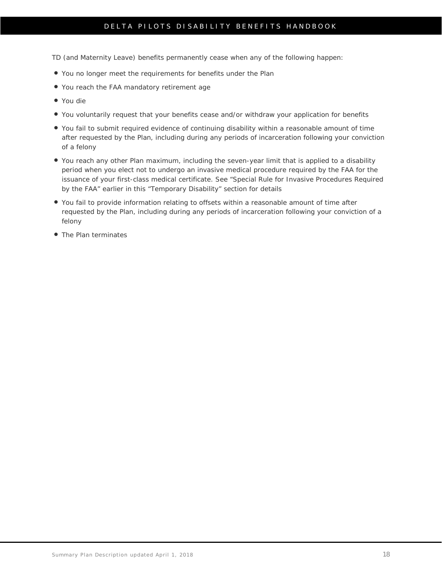### DELTA PILOTS DISABILITY BENEFITS HANDBOOK

TD (and Maternity Leave) benefits permanently cease when any of the following happen:

- You no longer meet the requirements for benefits under the Plan
- You reach the FAA mandatory retirement age
- You die
- You voluntarily request that your benefits cease and/or withdraw your application for benefits
- You fail to submit required evidence of continuing disability within a reasonable amount of time after requested by the Plan, including during any periods of incarceration following your conviction of a felony
- You reach any other Plan maximum, including the seven-year limit that is applied to a disability period when you elect not to undergo an invasive medical procedure required by the FAA for the issuance of your first-class medical certificate. [See "Special Rule for Invasive Procedures](#page-44-0) Required [by the FAA" earlier in this "Temporary Disability" section f](#page-44-0)or details
- You fail to provide information relating to offsets within a reasonable amount of time after requested by the Plan, including during any periods of incarceration following your conviction of a felony
- The Plan terminates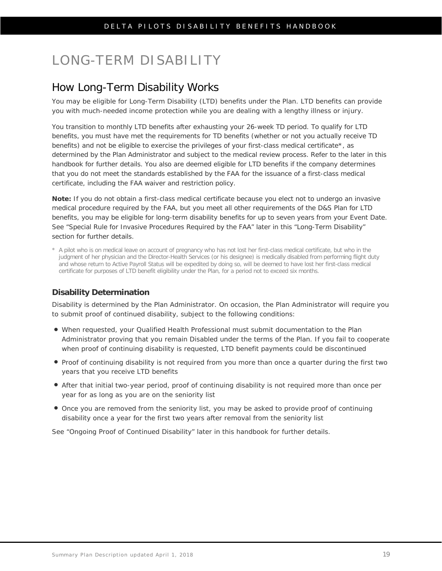# <span id="page-22-0"></span>LONG-TERM DISABILITY

## <span id="page-22-1"></span>How Long-Term Disability Works

You may be eligible for Long-Term Disability (LTD) benefits under the Plan. LTD benefits can provide you with much-needed income protection while you are dealing with a lengthy illness or injury.

You transition to monthly LTD benefits after exhausting your 26-week TD period. To qualify for LTD benefits, you must have met the requirements for TD benefits (whether or not you actually receive TD benefits) and not be eligible to exercise the privileges of your first-class medical certificate\*, as determined by the Plan Administrator and subject to the medical review process. Refer to the [later in this](#page-44-0)  [handbook](#page-44-0) for further details. You also are deemed eligible for LTD benefits if the company determines that you do not meet the standards established by the FAA for the issuance of a first-class medical certificate, including the FAA waiver and restriction policy.

**Note:** If you do not obtain a first-class medical certificate because you elect not to undergo an invasive medical procedure required by the FAA, but you meet all other requirements of the D&S Plan for LTD benefits, you may be eligible for long-term disability benefits for up to seven years from your Event Date. [See "Special Rule for Invasive Procedures](#page-44-0) Required by the FAA" later in this "Long-Term Disability" [section f](#page-44-0)or further details.

\* A pilot who is on medical leave on account of pregnancy who has not lost her first-class medical certificate, but who in the judgment of her physician and the Director-Health Services (or his designee) is medically disabled from performing flight duty and whose return to Active Payroll Status will be expedited by doing so, will be deemed to have lost her first-class medical certificate for purposes of LTD benefit eligibility under the Plan, for a period not to exceed six months.

### **Disability Determination**

Disability is determined by the Plan Administrator. On occasion, the Plan Administrator will require you to submit proof of continued disability, subject to the following conditions:

- When requested, your Qualified Health Professional must submit documentation to the Plan Administrator proving that you remain Disabled under the terms of the Plan. If you fail to cooperate when proof of continuing disability is requested, LTD benefit payments could be discontinued
- Proof of continuing disability is not required from you more than once a quarter during the first two years that you receive LTD benefits
- After that initial two-year period, proof of continuing disability is not required more than once per year for as long as you are on the seniority list
- Once you are removed from the seniority list, you may be asked to provide proof of continuing disability once a year for the first two years after removal from the seniority list

See ["Ongoing Proof of Continued Disability" later in this handbook](#page-41-0) for further details.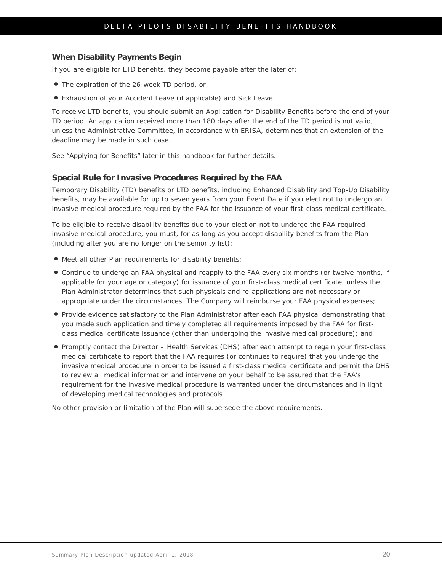#### **When Disability Payments Begin**

If you are eligible for LTD benefits, they become payable after the later of:

- The expiration of the 26-week TD period, or
- Exhaustion of your Accident Leave (if applicable) and Sick Leave

To receive LTD benefits, you should submit an Application for Disability Benefits before the end of your TD period. An application received more than 180 days after the end of the TD period is not valid, unless the Administrative Committee, in accordance with ERISA, determines that an extension of the deadline may be made in such case.

See ["Applying for Benefits" later in this handbook](#page-41-0) for further details.

#### **Special Rule for Invasive Procedures Required by the FAA**

Temporary Disability (TD) benefits or LTD benefits, including Enhanced Disability and Top-Up Disability benefits, may be available for up to seven years from your Event Date if you elect not to undergo an invasive medical procedure required by the FAA for the issuance of your first-class medical certificate.

To be eligible to receive disability benefits due to your election not to undergo the FAA required invasive medical procedure, you must, for as long as you accept disability benefits from the Plan (including after you are no longer on the seniority list):

- Meet all other Plan requirements for disability benefits;
- Continue to undergo an FAA physical and reapply to the FAA every six months (or twelve months, if applicable for your age or category) for issuance of your first-class medical certificate, unless the Plan Administrator determines that such physicals and re-applications are not necessary or appropriate under the circumstances. The Company will reimburse your FAA physical expenses;
- Provide evidence satisfactory to the Plan Administrator after each FAA physical demonstrating that you made such application and timely completed all requirements imposed by the FAA for firstclass medical certificate issuance (other than undergoing the invasive medical procedure); and
- Promptly contact the Director Health Services (DHS) after each attempt to regain your first-class medical certificate to report that the FAA requires (or continues to require) that you undergo the invasive medical procedure in order to be issued a first-class medical certificate and permit the DHS to review all medical information and intervene on your behalf to be assured that the FAA's requirement for the invasive medical procedure is warranted under the circumstances and in light of developing medical technologies and protocols

No other provision or limitation of the Plan will supersede the above requirements.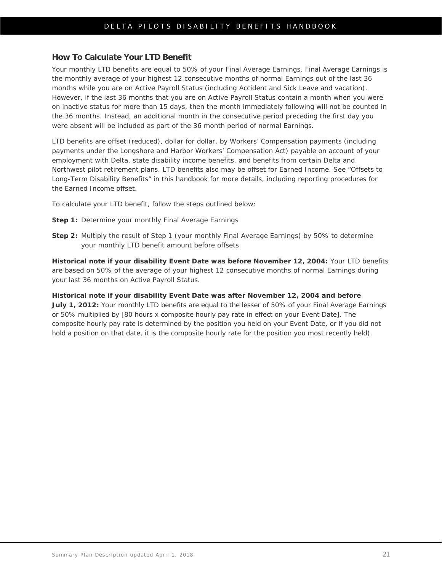#### **How To Calculate Your LTD Benefit**

Your monthly LTD benefits are equal to 50% of your Final Average Earnings. Final Average Earnings is the monthly average of your highest 12 consecutive months of normal Earnings out of the last 36 months while you are on Active Payroll Status (including Accident and Sick Leave and vacation). However, if the last 36 months that you are on Active Payroll Status contain a month when you were on inactive status for more than 15 days, then the month immediately following will not be counted in the 36 months. Instead, an additional month in the consecutive period preceding the first day you were absent will be included as part of the 36 month period of normal Earnings.

LTD benefits are offset (reduced), dollar for dollar, by Workers' Compensation payments (including payments under the Longshore and Harbor Workers' Compensation Act) payable on account of your employment with Delta, state disability income benefits, and benefits from certain Delta and Northwest pilot retirement plans. LTD benefits also may be offset for Earned Income. See ["Offsets to](#page-24-0)  [Long-Term Disability Benefits" in this handbook](#page-24-0) for more details, including reporting procedures for the Earned Income offset.

To calculate your LTD benefit, follow the steps outlined below:

- **Step 1:** Determine your monthly Final Average Earnings
- **Step 2:** Multiply the result of Step 1 (your monthly Final Average Earnings) by 50% to determine your monthly LTD benefit amount before offsets

**Historical note if your disability Event Date was before November 12, 2004:** Your LTD benefits are based on 50% of the average of your highest 12 consecutive months of normal Earnings during your last 36 months on Active Payroll Status.

<span id="page-24-0"></span>**Historical note if your disability Event Date was after November 12, 2004 and before July 1, 2012:** Your monthly LTD benefits are equal to the lesser of 50% of your Final Average Earnings or 50% multiplied by [80 hours x composite hourly pay rate in effect on your Event Date]. The composite hourly pay rate is determined by the position you held on your Event Date, or if you did not hold a position on that date, it is the composite hourly rate for the position you most recently held).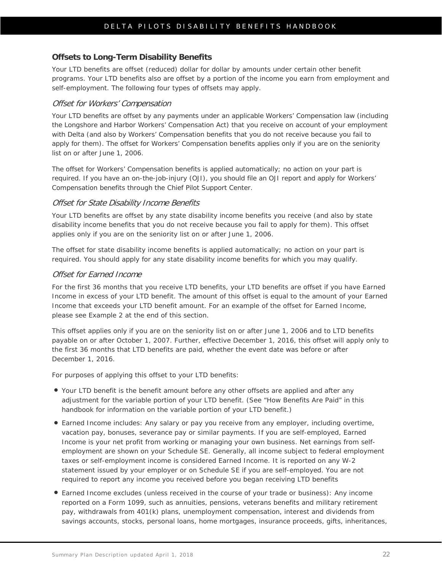### **Offsets to Long-Term Disability Benefits**

Your LTD benefits are offset (reduced) dollar for dollar by amounts under certain other benefit programs. Your LTD benefits also are offset by a portion of the income you earn from employment and self-employment. The following four types of offsets may apply.

#### Offset for Workers' Compensation

Your LTD benefits are offset by any payments under an applicable Workers' Compensation law (including the Longshore and Harbor Workers' Compensation Act) that you receive on account of your employment with Delta (and also by Workers' Compensation benefits that you do not receive because you fail to apply for them). The offset for Workers' Compensation benefits applies only if you are on the seniority list on or after June 1, 2006.

The offset for Workers' Compensation benefits is applied automatically; no action on your part is required. If you have an on-the-job-injury (OJI), you should file an OJI report and apply for Workers' Compensation benefits through the Chief Pilot Support Center.

#### Offset for State Disability Income Benefits

Your LTD benefits are offset by any state disability income benefits you receive (and also by state disability income benefits that you do not receive because you fail to apply for them). This offset applies only if you are on the seniority list on or after June 1, 2006.

The offset for state disability income benefits is applied automatically; no action on your part is required. You should apply for any state disability income benefits for which you may qualify.

#### Offset for Earned Income

For the first 36 months that you receive LTD benefits, your LTD benefits are offset if you have Earned Income in excess of your LTD benefit. The amount of this offset is equal to the amount of your Earned Income that exceeds your LTD benefit amount. For an example of the offset for Earned Income, please see Example 2 at the end of this section.

This offset applies only if you are on the seniority list on or after June 1, 2006 and to LTD benefits payable on or after October 1, 2007. Further, effective December 1, 2016, this offset will apply only to the first 36 months that LTD benefits are paid, whether the event date was before or after December 1, 2016.

For purposes of applying this offset to your LTD benefits:

- Your LTD benefit is the benefit amount before any other offsets are applied and after any adjustment for the variable portion of your LTD benefit. (See "How Benefits Are Paid" in this handbook for information on the variable portion of your LTD benefit.)
- Earned Income includes: Any salary or pay you receive from any employer, including overtime, vacation pay, bonuses, severance pay or similar payments. If you are self-employed, Earned Income is your net profit from working or managing your own business. Net earnings from selfemployment are shown on your Schedule SE. Generally, all income subject to federal employment taxes or self-employment income is considered Earned Income. It is reported on any W-2 statement issued by your employer or on Schedule SE if you are self-employed. You are not required to report any income you received before you began receiving LTD benefits
- Earned Income excludes (unless received in the course of your trade or business): Any income reported on a Form 1099, such as annuities, pensions, veterans benefits and military retirement pay, withdrawals from 401(k) plans, unemployment compensation, interest and dividends from savings accounts, stocks, personal loans, home mortgages, insurance proceeds, gifts, inheritances,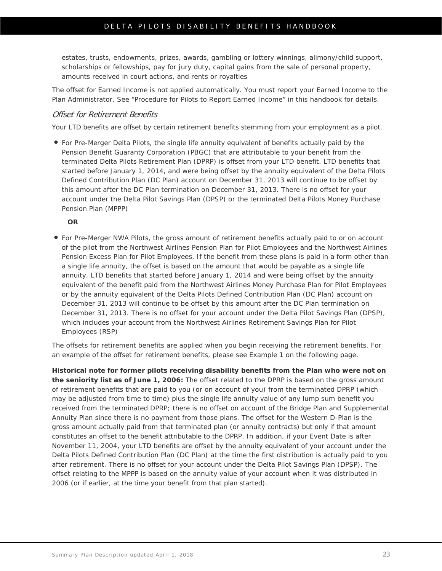estates, trusts, endowments, prizes, awards, gambling or lottery winnings, alimony/child support, scholarships or fellowships, pay for jury duty, capital gains from the sale of personal property, amounts received in court actions, and rents or royalties

The offset for Earned Income is not applied automatically. You must report your Earned Income to the Plan Administrator. See ["Procedure for Pilots to Report Earned Income" in this handbook](#page-26-0) for details.

#### Offset for Retirement Benefits

<span id="page-26-0"></span>Your LTD benefits are offset by certain retirement benefits stemming from your employment as a pilot.

 For Pre-Merger Delta Pilots, the single life annuity equivalent of benefits actually paid by the Pension Benefit Guaranty Corporation (PBGC) that are attributable to your benefit from the terminated Delta Pilots Retirement Plan (DPRP) is offset from your LTD benefit. LTD benefits that started before January 1, 2014, and were being offset by the annuity equivalent of the Delta Pilots Defined Contribution Plan (DC Plan) account on December 31, 2013 will continue to be offset by this amount after the DC Plan termination on December 31, 2013. There is no offset for your account under the Delta Pilot Savings Plan (DPSP) or the terminated Delta Pilots Money Purchase Pension Plan (MPPP)

**OR**

 For Pre-Merger NWA Pilots, the gross amount of retirement benefits actually paid to or on account of the pilot from the Northwest Airlines Pension Plan for Pilot Employees and the Northwest Airlines Pension Excess Plan for Pilot Employees. If the benefit from these plans is paid in a form other than a single life annuity, the offset is based on the amount that would be payable as a single life annuity. LTD benefits that started before January 1, 2014 and were being offset by the annuity equivalent of the benefit paid from the Northwest Airlines Money Purchase Plan for Pilot Employees or by the annuity equivalent of the Delta Pilots Defined Contribution Plan (DC Plan) account on December 31, 2013 will continue to be offset by this amount after the DC Plan termination on December 31, 2013. There is no offset for your account under the Delta Pilot Savings Plan (DPSP), which includes your account from the Northwest Airlines Retirement Savings Plan for Pilot Employees (RSP)

The offsets for retirement benefits are applied when you begin receiving the retirement benefits. For an example of the offset for retirement benefits, please see Example 1 on the following page.

**Historical note for former pilots receiving disability benefits from the Plan who were not on the seniority list as of June 1, 2006:** The offset related to the DPRP is based on the gross amount of retirement benefits that are paid to you (or on account of you) from the terminated DPRP (which may be adjusted from time to time) plus the single life annuity value of any lump sum benefit you received from the terminated DPRP; there is no offset on account of the Bridge Plan and Supplemental Annuity Plan since there is no payment from those plans. The offset for the Western D-Plan is the gross amount actually paid from that terminated plan (or annuity contracts) but only if that amount constitutes an offset to the benefit attributable to the DPRP. In addition, if your Event Date is after November 11, 2004, your LTD benefits are offset by the annuity equivalent of your account under the Delta Pilots Defined Contribution Plan (DC Plan) at the time the first distribution is actually paid to you after retirement. There is no offset for your account under the Delta Pilot Savings Plan (DPSP). The offset relating to the MPPP is based on the annuity value of your account when it was distributed in 2006 (or if earlier, at the time your benefit from that plan started).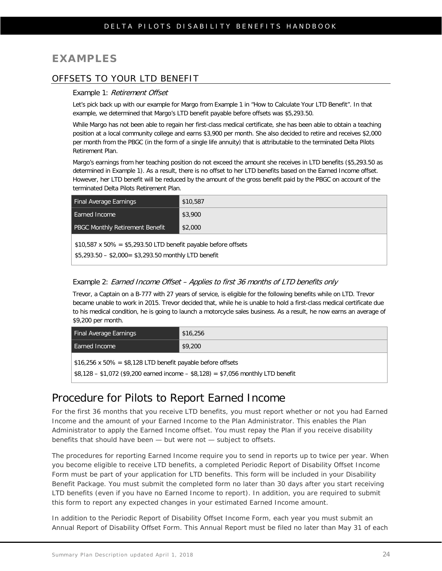### **EXAMPLES**

### OFFSETS TO YOUR LTD BENEFIT

#### Example 1: Retirement Offset

Let's pick back up with our example for Margo from Example 1 in "How to Calculate Your LTD Benefit". In that example, we determined that Margo's LTD benefit payable before offsets was \$5,293.50.

While Margo has not been able to regain her first-class medical certificate, she has been able to obtain a teaching position at a local community college and earns \$3,900 per month. She also decided to retire and receives \$2,000 per month from the PBGC (in the form of a single life annuity) that is attributable to the terminated Delta Pilots Retirement Plan.

Margo's earnings from her teaching position do not exceed the amount she receives in LTD benefits (\$5,293.50 as determined in Example 1). As a result, there is no offset to her LTD benefits based on the Earned Income offset. However, her LTD benefit will be reduced by the amount of the gross benefit paid by the PBGC on account of the terminated Delta Pilots Retirement Plan.

| <b>Final Average Earnings</b>                                        | \$10,587 |
|----------------------------------------------------------------------|----------|
| Earned Income                                                        | \$3,900  |
| <b>PBGC Monthly Retirement Benefit</b>                               | \$2,000  |
| $$10,587 \times 50\% = $5,293.50$ LTD benefit payable before offsets |          |

\$5,293.50 – \$2,000= \$3,293.50 monthly LTD benefit

#### Example 2: Earned Income Offset – Applies to first 36 months of LTD benefits only

Trevor, a Captain on a B-777 with 27 years of service, is eligible for the following benefits while on LTD. Trevor became unable to work in 2015. Trevor decided that, while he is unable to hold a first-class medical certificate due to his medical condition, he is going to launch a motorcycle sales business. As a result, he now earns an average of \$9,200 per month.

| Final Average Earnings                                                                                                                                   | \$16,256 |  |
|----------------------------------------------------------------------------------------------------------------------------------------------------------|----------|--|
| Earned Income                                                                                                                                            | \$9,200  |  |
| $$16,256 \times 50\% = $8,128$ LTD benefit payable before offsets<br>$$8,128 - $1,072$ (\$9,200 earned income $-$ \$8,128) = \$7,056 monthly LTD benefit |          |  |

### <span id="page-27-0"></span>Procedure for Pilots to Report Earned Income

For the first 36 months that you receive LTD benefits, you must report whether or not you had Earned Income and the amount of your Earned Income to the Plan Administrator. This enables the Plan Administrator to apply the Earned Income offset. You must repay the Plan if you receive disability benefits that should have been — but were not — subject to offsets.

The procedures for reporting Earned Income require you to send in reports up to twice per year. When you become eligible to receive LTD benefits, a completed Periodic Report of Disability Offset Income Form must be part of your application for LTD benefits. This form will be included in your Disability Benefit Package. You must submit the completed form no later than 30 days after you start receiving LTD benefits (even if you have no Earned Income to report). In addition, you are required to submit this form to report any expected changes in your estimated Earned Income amount.

In addition to the Periodic Report of Disability Offset Income Form, each year you must submit an Annual Report of Disability Offset Form. This Annual Report must be filed no later than May 31 of each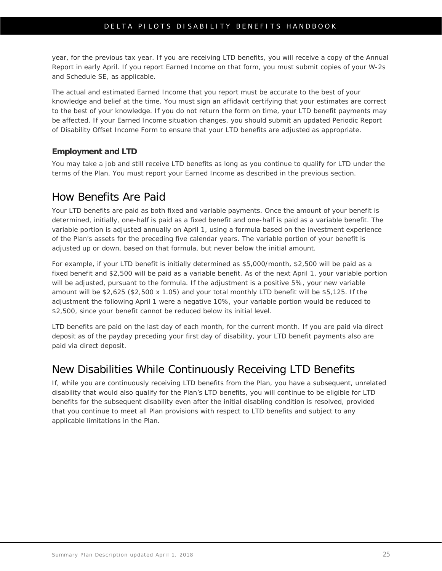year, for the previous tax year. If you are receiving LTD benefits, you will receive a copy of the Annual Report in early April. If you report Earned Income on that form, you must submit copies of your W-2s and Schedule SE, as applicable.

The actual and estimated Earned Income that you report must be accurate to the best of your knowledge and belief at the time. You must sign an affidavit certifying that your estimates are correct to the best of your knowledge. If you do not return the form on time, your LTD benefit payments may be affected. If your Earned Income situation changes, you should submit an updated Periodic Report of Disability Offset Income Form to ensure that your LTD benefits are adjusted as appropriate.

### **Employment and LTD**

You may take a job and still receive LTD benefits as long as you continue to qualify for LTD under the terms of the Plan. You must report your Earned Income as described in the previous section.

## <span id="page-28-0"></span>How Benefits Are Paid

Your LTD benefits are paid as both fixed and variable payments. Once the amount of your benefit is determined, initially, one-half is paid as a fixed benefit and one-half is paid as a variable benefit. The variable portion is adjusted annually on April 1, using a formula based on the investment experience of the Plan's assets for the preceding five calendar years. The variable portion of your benefit is adjusted up or down, based on that formula, but never below the initial amount.

For example, if your LTD benefit is initially determined as \$5,000/month, \$2,500 will be paid as a fixed benefit and \$2,500 will be paid as a variable benefit. As of the next April 1, your variable portion will be adjusted, pursuant to the formula. If the adjustment is a positive 5%, your new variable amount will be \$2,625 (\$2,500 x 1.05) and your total monthly LTD benefit will be \$5,125. If the adjustment the following April 1 were a negative 10%, your variable portion would be reduced to \$2,500, since your benefit cannot be reduced below its initial level.

LTD benefits are paid on the last day of each month, for the current month. If you are paid via direct deposit as of the payday preceding your first day of disability, your LTD benefit payments also are paid via direct deposit.

# <span id="page-28-1"></span>New Disabilities While Continuously Receiving LTD Benefits

If, while you are continuously receiving LTD benefits from the Plan, you have a subsequent, unrelated disability that would also qualify for the Plan's LTD benefits, you will continue to be eligible for LTD benefits for the subsequent disability even after the initial disabling condition is resolved, provided that you continue to meet all Plan provisions with respect to LTD benefits and subject to any applicable limitations in the Plan.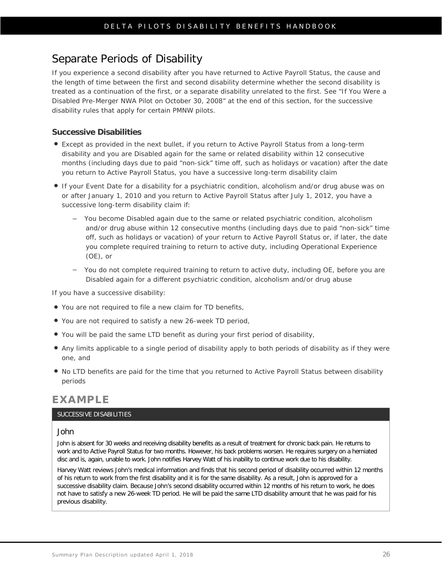# <span id="page-29-0"></span>Separate Periods of Disability

If you experience a second disability after you have returned to Active Payroll Status, the cause and the length of time between the first and second disability determine whether the second disability is treated as a continuation of the first, or a separate disability unrelated to the first. See "If You Were a Disabled Pre-Merger NWA Pilot on October 30, 2008" at the end of this section, for the successive disability rules that apply for certain PMNW pilots.

### **Successive Disabilities**

- Except as provided in the next bullet, if you return to Active Payroll Status from a long-term disability and you are Disabled again for the same or related disability within 12 consecutive months (including days due to paid "non-sick" time off, such as holidays or vacation) after the date you return to Active Payroll Status, you have a successive long-term disability claim
- If your Event Date for a disability for a psychiatric condition, alcoholism and/or drug abuse was on or after January 1, 2010 and you return to Active Payroll Status after July 1, 2012, you have a successive long-term disability claim if:
	- You become Disabled again due to the same or related psychiatric condition, alcoholism and/or drug abuse within 12 consecutive months (including days due to paid "non-sick" time off, such as holidays or vacation) of your return to Active Payroll Status or, if later, the date you complete required training to return to active duty, including Operational Experience (OE), or
	- You do not complete required training to return to active duty, including OE, before you are Disabled again for a different psychiatric condition, alcoholism and/or drug abuse

If you have a successive disability:

- You are not required to file a new claim for TD benefits,
- You are not required to satisfy a new 26-week TD period,
- You will be paid the same LTD benefit as during your first period of disability,
- Any limits applicable to a single period of disability apply to both periods of disability as if they were one, and
- No LTD benefits are paid for the time that you returned to Active Payroll Status between disability periods

### **EXAMPLE**

### SUCCESSIVE DISABILITIES

#### John

John is absent for 30 weeks and receiving disability benefits as a result of treatment for chronic back pain. He returns to work and to Active Payroll Status for two months. However, his back problems worsen. He requires surgery on a herniated disc and is, again, unable to work. John notifies Harvey Watt of his inability to continue work due to his disability.

Harvey Watt reviews John's medical information and finds that his second period of disability occurred within 12 months of his return to work from the first disability and it is for the same disability. As a result, John is approved for a successive disability claim. Because John's second disability occurred within 12 months of his return to work, he does not have to satisfy a new 26-week TD period. He will be paid the same LTD disability amount that he was paid for his previous disability.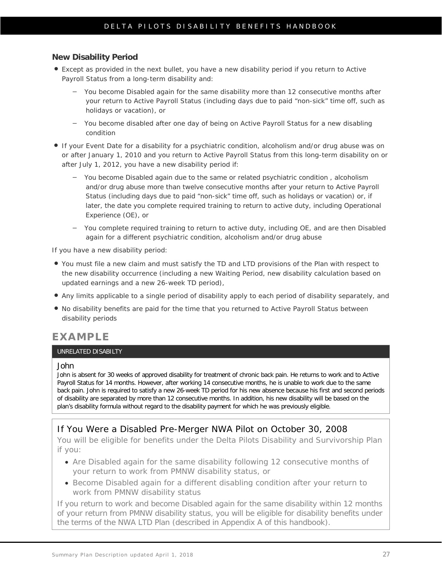### **New Disability Period**

- Except as provided in the next bullet, you have a new disability period if you return to Active Payroll Status from a long-term disability and:
	- You become Disabled again for the same disability *more than 12 consecutive months after your return to Active Payroll Status* (including days due to paid "non-sick" time off, such as holidays or vacation), or
	- You become disabled after one day of being on Active Payroll Status for a new disabling condition
- If your Event Date for a disability for a psychiatric condition, alcoholism and/or drug abuse was on or after January 1, 2010 and you return to Active Payroll Status from this long-term disability on or after July 1, 2012, you have a new disability period if:
	- You become Disabled again due to the same or related psychiatric condition , alcoholism and/or drug abuse *more than twelve consecutive months after your return to Active Payroll Status* (including days due to paid "non-sick" time off, such as holidays or vacation) or, if later, the date you complete required training to return to active duty, including Operational Experience (OE), or
	- You complete required training to return to active duty, including OE, and are then Disabled again for a different psychiatric condition, alcoholism and/or drug abuse

If you have a new disability period:

- You must file a new claim and must satisfy the TD and LTD provisions of the Plan with respect to the new disability occurrence (including a new Waiting Period, new disability calculation based on updated earnings and a new 26-week TD period),
- Any limits applicable to a single period of disability apply to each period of disability separately, and
- No disability benefits are paid for the time that you returned to Active Payroll Status between disability periods

### **EXAMPLE**

### UNRELATED DISABILTY

#### John

John is absent for 30 weeks of approved disability for treatment of chronic back pain. He returns to work and to Active Payroll Status for 14 months. However, after working 14 consecutive months, he is unable to work due to the same back pain. John is required to satisfy a new 26-week TD period for his new absence because his first and second periods of disability are separated by more than 12 consecutive months. In addition, his new disability will be based on the plan's disability formula without regard to the disability payment for which he was previously eligible.

### If You Were a Disabled Pre-Merger NWA Pilot on October 30, 2008

You will be eligible for benefits under the Delta Pilots Disability and Survivorship Plan if you:

- Are Disabled again for the same disability following 12 consecutive months of your return to work from PMNW disability status, or
- Become Disabled again for a different disabling condition after your return to work from PMNW disability status

If you return to work and become Disabled again for the same disability within 12 months of your return from PMNW disability status, you will be eligible for disability benefits under the terms of the NWA LTD Plan (described in Appendix A of this handbook).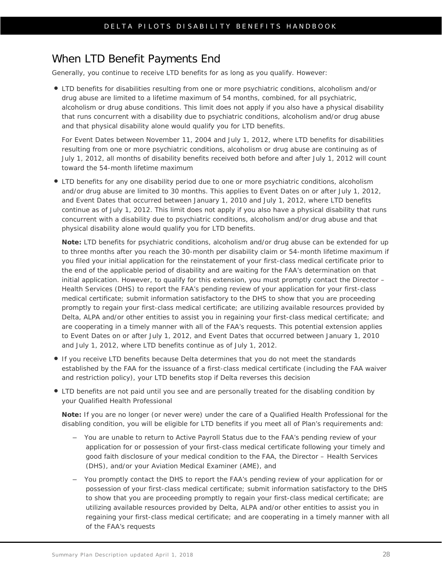## <span id="page-31-0"></span>When LTD Benefit Payments End

Generally, you continue to receive LTD benefits for as long as you qualify. However:

 LTD benefits for disabilities resulting from one or more psychiatric conditions, alcoholism and/or drug abuse are limited to a lifetime maximum of 54 months, combined, for all psychiatric, alcoholism or drug abuse conditions. This limit does not apply if you also have a physical disability that runs concurrent with a disability due to psychiatric conditions, alcoholism and/or drug abuse and that physical disability alone would qualify you for LTD benefits.

For Event Dates between November 11, 2004 and July 1, 2012, where LTD benefits for disabilities resulting from one or more psychiatric conditions, alcoholism or drug abuse are continuing as of July 1, 2012, all months of disability benefits received both before and after July 1, 2012 will count toward the 54-month lifetime maximum

 LTD benefits for any one disability period due to one or more psychiatric conditions, alcoholism and/or drug abuse are limited to 30 months. This applies to Event Dates on or after July 1, 2012, and Event Dates that occurred between January 1, 2010 and July 1, 2012, where LTD benefits continue as of July 1, 2012. This limit does not apply if you also have a physical disability that runs concurrent with a disability due to psychiatric conditions, alcoholism and/or drug abuse and that physical disability alone would qualify you for LTD benefits.

**Note:** LTD benefits for psychiatric conditions, alcoholism and/or drug abuse can be extended for up to three months after you reach the 30-month per disability claim or 54-month lifetime maximum if you filed your initial application for the reinstatement of your first-class medical certificate prior to the end of the applicable period of disability and are waiting for the FAA's determination on that initial application. However, to qualify for this extension, you must promptly contact the Director – Health Services (DHS) to report the FAA's pending review of your application for your first-class medical certificate; submit information satisfactory to the DHS to show that you are proceeding promptly to regain your first-class medical certificate; are utilizing available resources provided by Delta, ALPA and/or other entities to assist you in regaining your first-class medical certificate; and are cooperating in a timely manner with all of the FAA's requests. This potential extension applies to Event Dates on or after July 1, 2012, and Event Dates that occurred between January 1, 2010 and July 1, 2012, where LTD benefits continue as of July 1, 2012.

- If you receive LTD benefits because Delta determines that you do not meet the standards established by the FAA for the issuance of a first-class medical certificate (including the FAA waiver and restriction policy), your LTD benefits stop if Delta reverses this decision
- LTD benefits are not paid until you see and are personally treated for the disabling condition by your Qualified Health Professional

**Note:** If you are no longer (or never were) under the care of a Qualified Health Professional for the disabling condition, you will be eligible for LTD benefits if you meet all of Plan's requirements and:

- You are unable to return to Active Payroll Status due to the FAA's pending review of your application for or possession of your first-class medical certificate following your timely and good faith disclosure of your medical condition to the FAA, the Director – Health Services (DHS), and/or your Aviation Medical Examiner (AME), and
- You promptly contact the DHS to report the FAA's pending review of your application for or possession of your first-class medical certificate; submit information satisfactory to the DHS to show that you are proceeding promptly to regain your first-class medical certificate; are utilizing available resources provided by Delta, ALPA and/or other entities to assist you in regaining your first-class medical certificate; and are cooperating in a timely manner with all of the FAA's requests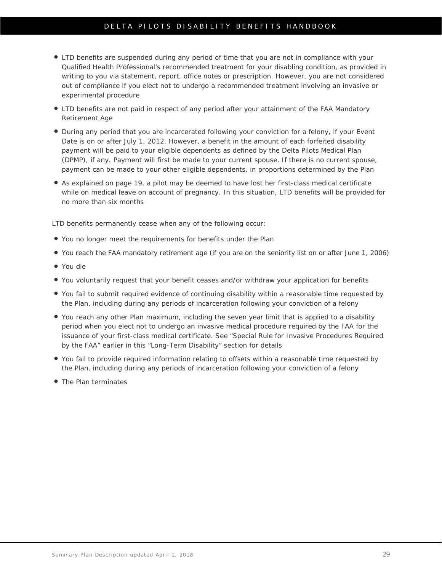### DELTA PILOTS DISABILITY BENEFITS HANDBOOK

- LTD benefits are suspended during any period of time that you are not in compliance with your Qualified Health Professional's recommended treatment for your disabling condition, as provided in writing to you via statement, report, office notes or prescription. However, you are not considered out of compliance if you elect not to undergo a recommended treatment involving an invasive or experimental procedure
- LTD benefits are not paid in respect of any period after your attainment of the FAA Mandatory Retirement Age
- During any period that you are incarcerated following your conviction for a felony, if your Event Date is on or after July 1, 2012. However, a benefit in the amount of each forfeited disability payment will be paid to your eligible dependents as defined by the Delta Pilots Medical Plan (DPMP), if any. Payment will first be made to your current spouse. If there is no current spouse, payment can be made to your other eligible dependents, in proportions determined by the Plan
- As explained on page 19, a pilot may be *deemed* to have lost her first-class medical certificate while on medical leave on account of pregnancy. In this situation, LTD benefits will be provided for no more than six months

LTD benefits permanently cease when any of the following occur:

- You no longer meet the requirements for benefits under the Plan
- You reach the FAA mandatory retirement age (if you are on the seniority list on or after June 1, 2006)
- You die
- You voluntarily request that your benefit ceases and/or withdraw your application for benefits
- You fail to submit required evidence of continuing disability within a reasonable time requested by the Plan, including during any periods of incarceration following your conviction of a felony
- You reach any other Plan maximum, including the seven year limit that is applied to a disability period when you elect not to undergo an invasive medical procedure required by the FAA for the issuance of your first-class medical certificate. [See "Special Rule for Invasive Procedures](#page-44-0) Required [by the FAA" earlier in this "Long-Term Disability" section f](#page-44-0)or details
- You fail to provide required information relating to offsets within a reasonable time requested by the Plan, including during any periods of incarceration following your conviction of a felony
- **The Plan terminates**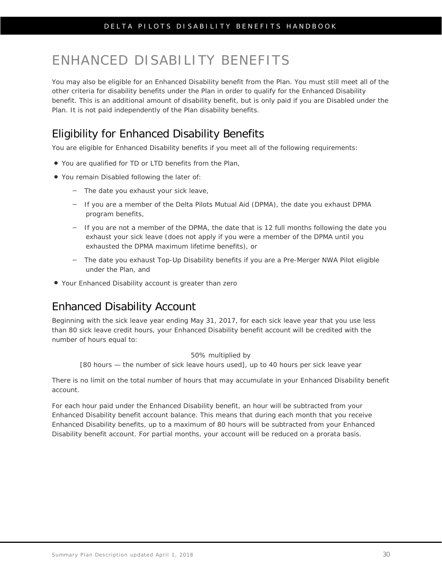# <span id="page-33-0"></span>ENHANCED DISABILITY BENEFITS

You may also be eligible for an Enhanced Disability benefit from the Plan. You must still meet all of the other criteria for disability benefits under the Plan in order to qualify for the Enhanced Disability benefit. This is an additional amount of disability benefit, but is only paid if you are Disabled under the Plan. It is not paid independently of the Plan disability benefits.

# <span id="page-33-1"></span>Eligibility for Enhanced Disability Benefits

You are eligible for Enhanced Disability benefits if you meet all of the following requirements:

- You are qualified for TD or LTD benefits from the Plan,
- You remain Disabled following the later of:
	- The date you exhaust your sick leave,
	- If you are a member of the Delta Pilots Mutual Aid (DPMA), the date you exhaust DPMA program benefits,
	- If you are not a member of the DPMA, the date that is 12 full months following the date you exhaust your sick leave (does not apply if you were a member of the DPMA until you exhausted the DPMA maximum lifetime benefits), or
	- The date you exhaust Top-Up Disability benefits if you are a Pre-Merger NWA Pilot eligible under the Plan, and
- Your Enhanced Disability account is greater than zero

# <span id="page-33-2"></span>Enhanced Disability Account

Beginning with the sick leave year ending May 31, 2017, for each sick leave year that you use less than 80 sick leave credit hours, your Enhanced Disability benefit account will be credited with the number of hours equal to:

50% multiplied by

[80 hours — the number of sick leave hours used], up to 40 hours per sick leave year

There is no limit on the total number of hours that may accumulate in your Enhanced Disability benefit account.

For each hour paid under the Enhanced Disability benefit, an hour will be subtracted from your Enhanced Disability benefit account balance. This means that during each month that you receive Enhanced Disability benefits, up to a maximum of 80 hours will be subtracted from your Enhanced Disability benefit account. For partial months, your account will be reduced on a prorata basis.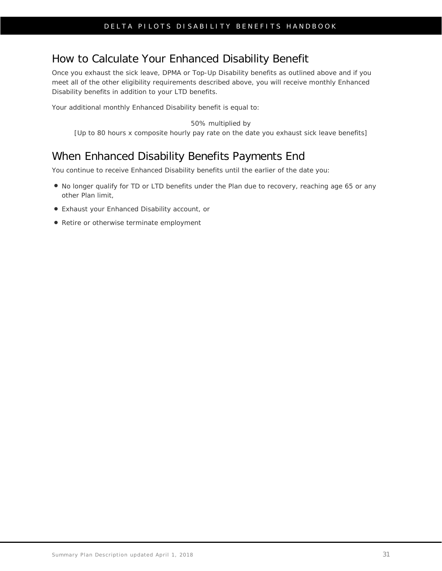# <span id="page-34-0"></span>How to Calculate Your Enhanced Disability Benefit

Once you exhaust the sick leave, DPMA or Top-Up Disability benefits as outlined above and if you meet all of the other eligibility requirements described above, you will receive monthly Enhanced Disability benefits in addition to your LTD benefits.

Your additional monthly Enhanced Disability benefit is equal to:

#### 50% multiplied by

[Up to 80 hours x composite hourly pay rate on the date you exhaust sick leave benefits]

# <span id="page-34-1"></span>When Enhanced Disability Benefits Payments End

You continue to receive Enhanced Disability benefits until the earlier of the date you:

- No longer qualify for TD or LTD benefits under the Plan due to recovery, reaching age 65 or any other Plan limit,
- Exhaust your Enhanced Disability account, or
- Retire or otherwise terminate employment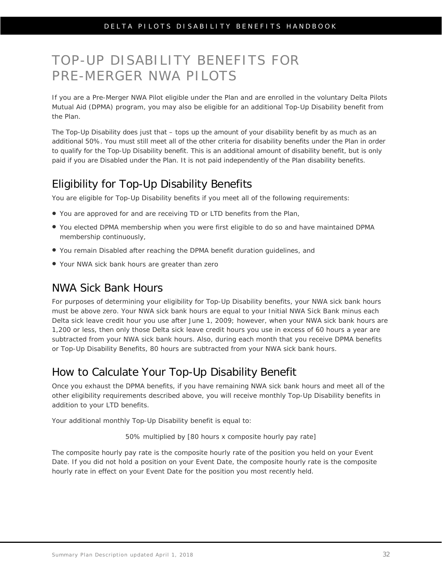# <span id="page-35-0"></span>TOP-UP DISABILITY BENEFITS FOR PRE-MERGER NWA PILOTS

If you are a Pre-Merger NWA Pilot eligible under the Plan and are enrolled in the voluntary Delta Pilots Mutual Aid (DPMA) program, you may also be eligible for an additional Top-Up Disability benefit from the Plan.

The Top-Up Disability does just that – tops up the amount of your disability benefit by as much as an additional 50%. You must still meet all of the other criteria for disability benefits under the Plan in order to qualify for the Top-Up Disability benefit. This is an additional amount of disability benefit, but is only paid if you are Disabled under the Plan. It is not paid independently of the Plan disability benefits.

# <span id="page-35-1"></span>Eligibility for Top-Up Disability Benefits

You are eligible for Top-Up Disability benefits if you meet all of the following requirements:

- You are approved for and are receiving TD or LTD benefits from the Plan,
- You elected DPMA membership when you were first eligible to do so and have maintained DPMA membership continuously,
- You remain Disabled after reaching the DPMA benefit duration guidelines, and
- Your NWA sick bank hours are greater than zero

### <span id="page-35-2"></span>NWA Sick Bank Hours

For purposes of determining your eligibility for Top-Up Disability benefits, your NWA sick bank hours must be above zero. Your NWA sick bank hours are equal to your Initial NWA Sick Bank minus each Delta sick leave credit hour you use after June 1, 2009; however, when your NWA sick bank hours are 1,200 or less, then only those Delta sick leave credit hours you use in excess of 60 hours a year are subtracted from your NWA sick bank hours. Also, during each month that you receive DPMA benefits or Top-Up Disability Benefits, 80 hours are subtracted from your NWA sick bank hours.

# <span id="page-35-3"></span>How to Calculate Your Top-Up Disability Benefit

Once you exhaust the DPMA benefits, if you have remaining NWA sick bank hours and meet all of the other eligibility requirements described above, you will receive monthly Top-Up Disability benefits in addition to your LTD benefits.

Your additional monthly Top-Up Disability benefit is equal to:

50% multiplied by [80 hours x composite hourly pay rate]

The composite hourly pay rate is the composite hourly rate of the position you held on your Event Date. If you did not hold a position on your Event Date, the composite hourly rate is the composite hourly rate in effect on your Event Date for the position you most recently held.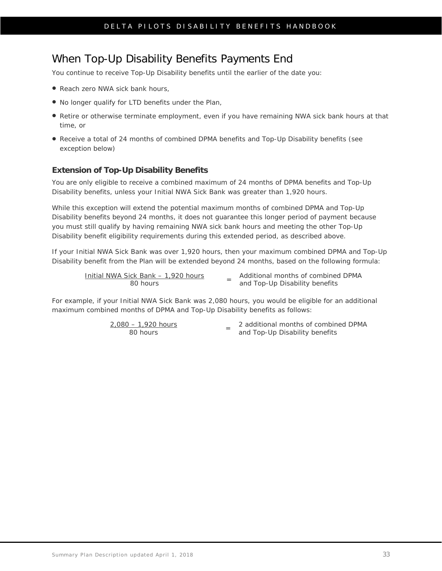### When Top-Up Disability Benefits Payments End

You continue to receive Top-Up Disability benefits until the earlier of the date you:

- Reach zero NWA sick bank hours,
- No longer qualify for LTD benefits under the Plan,
- Retire or otherwise terminate employment, even if you have remaining NWA sick bank hours at that time, or
- Receive a total of 24 months of combined DPMA benefits and Top-Up Disability benefits (see exception below)

#### **Extension of Top-Up Disability Benefits**

You are only eligible to receive a combined maximum of 24 months of DPMA benefits and Top-Up Disability benefits, unless your Initial NWA Sick Bank was greater than 1,920 hours.

While this exception will extend the potential maximum months of combined DPMA and Top-Up Disability benefits beyond 24 months, it does not guarantee this longer period of payment because you must still qualify by having remaining NWA sick bank hours and meeting the other Top-Up Disability benefit eligibility requirements during this extended period, as described above.

If your Initial NWA Sick Bank was over 1,920 hours, then your maximum combined DPMA and Top-Up Disability benefit from the Plan will be extended beyond 24 months, based on the following formula:

Initial NWA Sick Bank – 1,920 hours

 $\frac{1}{2}$  ick Bank – 1,920 hours  $\frac{1}{2}$  and Top-Up Disability benefits and Top-Up Disability benefits

For example, if your Initial NWA Sick Bank was 2,080 hours, you would be eligible for an additional maximum combined months of DPMA and Top-Up Disability benefits as follows:

2,080 – 1,920 hours<br>80 hours

80 hours <sup>=</sup> 2 additional months of combined DPMA and Top-Up Disability benefits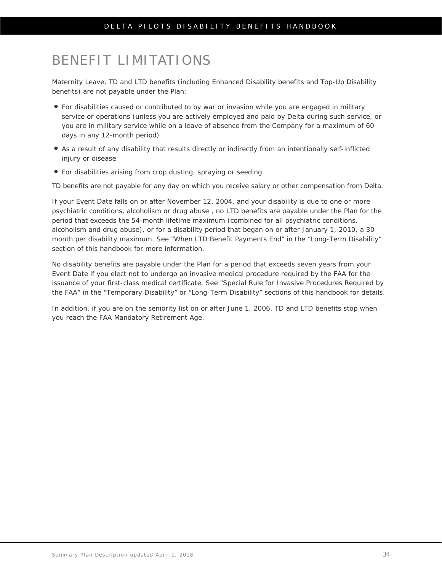# BENEFIT LIMITATIONS

Maternity Leave, TD and LTD benefits (including Enhanced Disability benefits and Top-Up Disability benefits) are not payable under the Plan:

- For disabilities caused or contributed to by war or invasion while you are engaged in military service or operations (unless you are actively employed and paid by Delta during such service, or you are in military service while on a leave of absence from the Company for a maximum of 60 days in any 12-month period)
- As a result of any disability that results directly or indirectly from an intentionally self-inflicted injury or disease
- For disabilities arising from crop dusting, spraying or seeding

TD benefits are not payable for any day on which you receive salary or other compensation from Delta.

If your Event Date falls on or after November 12, 2004, and your disability is due to one or more psychiatric conditions, alcoholism or drug abuse , no LTD benefits are payable under the Plan for the period that exceeds the 54-month lifetime maximum (combined for all psychiatric conditions, alcoholism and drug abuse), or for a disability period that began on or after January 1, 2010, a 30 month per disability maximum. See "When LTD Benefit Payments End" in the "Long-Term Disability" section of this handbook for more information.

No disability benefits are payable under the Plan for a period that exceeds seven years from your Event Date if you elect not to undergo an invasive medical procedure required by the FAA for the issuance of your first-class medical certificate. See "Special [Rule for Invasive Procedures](#page-44-0) Required by [the FAA" in the "Temporary Disability" or "Long-Term Disability" sections o](#page-44-0)f this handbook for details.

In addition, if you are on the seniority list on or after June 1, 2006, TD and LTD benefits stop when you reach the FAA Mandatory Retirement Age.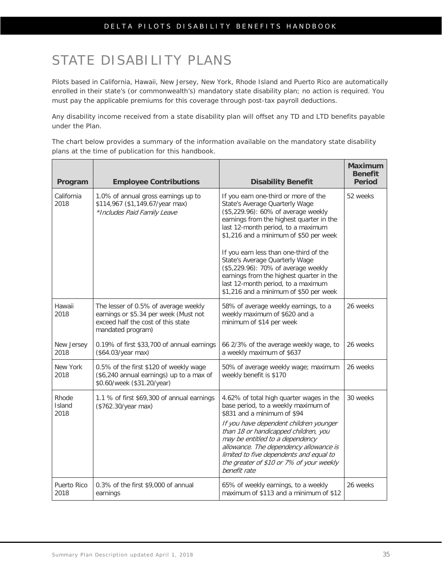# STATE DISABILITY PLANS

Pilots based in California, Hawaii, New Jersey, New York, Rhode Island and Puerto Rico are automatically enrolled in their state's (or commonwealth's) mandatory state disability plan; no action is required. You must pay the applicable premiums for this coverage through post-tax payroll deductions.

Any disability income received from a state disability plan will offset any TD and LTD benefits payable under the Plan.

The chart below provides a summary of the information available on the mandatory state disability plans at the time of publication for this handbook.

| Program                 | <b>Employee Contributions</b>                                                                                                            | <b>Disability Benefit</b>                                                                                                                                                                                                                                                                                                                                                                                                                                                                | <b>Maximum</b><br><b>Benefit</b><br><b>Period</b> |
|-------------------------|------------------------------------------------------------------------------------------------------------------------------------------|------------------------------------------------------------------------------------------------------------------------------------------------------------------------------------------------------------------------------------------------------------------------------------------------------------------------------------------------------------------------------------------------------------------------------------------------------------------------------------------|---------------------------------------------------|
| California<br>2018      | 1.0% of annual gross earnings up to<br>\$114,967 (\$1,149.67/year max)<br>*Includes Paid Family Leave                                    | If you earn one-third or more of the<br>State's Average Quarterly Wage<br>(\$5,229.96): 60% of average weekly<br>earnings from the highest quarter in the<br>last 12-month period, to a maximum<br>\$1,216 and a minimum of \$50 per week<br>If you earn less than one-third of the<br>State's Average Quarterly Wage<br>(\$5,229.96): 70% of average weekly<br>earnings from the highest quarter in the<br>last 12-month period, to a maximum<br>\$1,216 and a minimum of \$50 per week | 52 weeks                                          |
| Hawaii<br>2018          | The lesser of 0.5% of average weekly<br>earnings or \$5.34 per week (Must not<br>exceed half the cost of this state<br>mandated program) | 58% of average weekly earnings, to a<br>weekly maximum of \$620 and a<br>minimum of \$14 per week                                                                                                                                                                                                                                                                                                                                                                                        | 26 weeks                                          |
| New Jersey<br>2018      | 0.19% of first \$33,700 of annual earnings<br>(\$64.03/year max)                                                                         | 66 2/3% of the average weekly wage, to<br>a weekly maximum of \$637                                                                                                                                                                                                                                                                                                                                                                                                                      | 26 weeks                                          |
| New York<br>2018        | 0.5% of the first \$120 of weekly wage<br>(\$6,240 annual earnings) up to a max of<br>\$0.60/week (\$31.20/year)                         | 50% of average weekly wage; maximum<br>weekly benefit is \$170                                                                                                                                                                                                                                                                                                                                                                                                                           | 26 weeks                                          |
| Rhode<br>Island<br>2018 | 1.1 % of first \$69,300 of annual earnings<br>(\$762.30/year max)                                                                        | 4.62% of total high quarter wages in the<br>base period, to a weekly maximum of<br>\$831 and a minimum of \$94<br>If you have dependent children younger<br>than 18 or handicapped children, you<br>may be entitled to a dependency<br>allowance. The dependency allowance is<br>limited to five dependents and equal to<br>the greater of \$10 or 7% of your weekly<br>benefit rate                                                                                                     | 30 weeks                                          |
| Puerto Rico<br>2018     | 0.3% of the first \$9,000 of annual<br>earnings                                                                                          | 65% of weekly earnings, to a weekly<br>maximum of \$113 and a minimum of \$12                                                                                                                                                                                                                                                                                                                                                                                                            | 26 weeks                                          |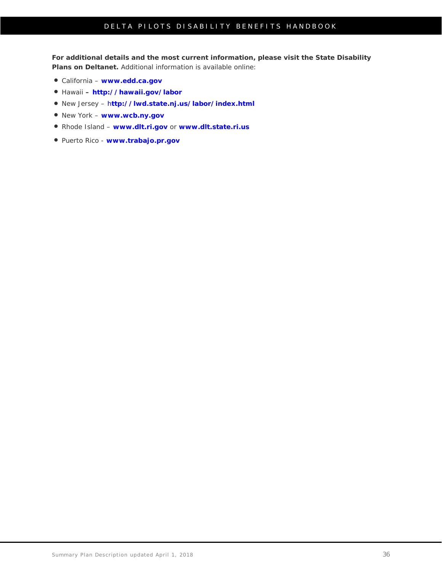**For additional details and the most current information, please visit the State Disability Plans on Deltanet.** Additional information is available online:

- California **[www.edd.ca.gov](http://www.edd.ca.gov/)**
- Hawaii **– <http://hawaii.gov/labor>**
- New Jersey h**[ttp://lwd.state.nj.us/labor/index.html](http://lwd.state.nj.us/labor/index.html)**
- New York **[www.wcb.ny.gov](http://www.wcb.ny.gov/)**
- Rhode Island **[www.dlt.ri.gov](http://www.dlt.ri.gov/)** or **[www.dlt.state.ri.us](http://www.dlt.state.ri.us/)**
- Puerto Rico **[www.trabajo.pr.gov](http://www.trabajo.pr.gov/)**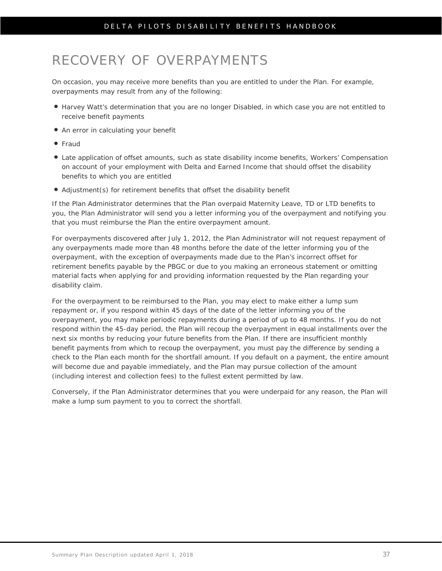# RECOVERY OF OVERPAYMENTS

On occasion, you may receive more benefits than you are entitled to under the Plan. For example, overpayments may result from any of the following:

- Harvey Watt's determination that you are no longer Disabled, in which case you are not entitled to receive benefit payments
- An error in calculating your benefit
- Fraud
- Late application of offset amounts, such as state disability income benefits, Workers' Compensation on account of your employment with Delta and Earned Income that should offset the disability benefits to which you are entitled
- Adjustment(s) for retirement benefits that offset the disability benefit

If the Plan Administrator determines that the Plan overpaid Maternity Leave, TD or LTD benefits to you, the Plan Administrator will send you a letter informing you of the overpayment and notifying you that you must reimburse the Plan the entire overpayment amount.

For overpayments discovered after July 1, 2012, the Plan Administrator will not request repayment of any overpayments made more than 48 months before the date of the letter informing you of the overpayment, with the exception of overpayments made due to the Plan's incorrect offset for retirement benefits payable by the PBGC or due to you making an erroneous statement or omitting material facts when applying for and providing information requested by the Plan regarding your disability claim.

For the overpayment to be reimbursed to the Plan, you may elect to make either a lump sum repayment or, if you respond within 45 days of the date of the letter informing you of the overpayment, you may make periodic repayments during a period of up to 48 months. If you do not respond within the 45-day period, the Plan will recoup the overpayment in equal installments over the next six months by reducing your future benefits from the Plan. If there are insufficient monthly benefit payments from which to recoup the overpayment, you must pay the difference by sending a check to the Plan each month for the shortfall amount. If you default on a payment, the entire amount will become due and payable immediately, and the Plan may pursue collection of the amount (including interest and collection fees) to the fullest extent permitted by law.

Conversely, if the Plan Administrator determines that you were underpaid for any reason, the Plan will make a lump sum payment to you to correct the shortfall.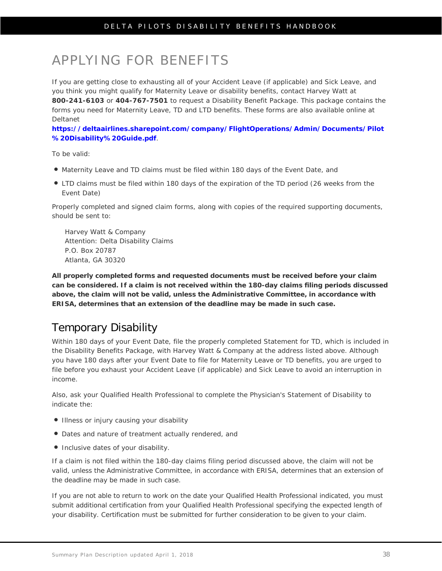# APPLYING FOR BENEFITS

If you are getting close to exhausting all of your Accident Leave (if applicable) and Sick Leave, and you think you might qualify for Maternity Leave or disability benefits, contact Harvey Watt at **800-241-6103** or **404-767-7501** to request a Disability Benefit Package. This package contains the forms you need for Maternity Leave, TD and LTD benefits. These forms are also available online at Deltanet

**[https://deltaairlines.sharepoint.com/company/FlightOperations/Admin/Documents/Pilot](https://deltaairlines.sharepoint.com/company/FlightOperations/Admin/Documents/Pilot%20Disability%20Guide.pdf) [%20Disability%20Guide.pdf](https://deltaairlines.sharepoint.com/company/FlightOperations/Admin/Documents/Pilot%20Disability%20Guide.pdf)**.

To be valid:

- Maternity Leave and TD claims must be filed within 180 days of the Event Date, and
- LTD claims must be filed within 180 days of the expiration of the TD period (26 weeks from the Event Date)

Properly completed and signed claim forms, along with copies of the required supporting documents, should be sent to:

Harvey Watt & Company Attention: Delta Disability Claims P.O. Box 20787 Atlanta, GA 30320

**All properly completed forms and requested documents must be received before your claim can be considered. If a claim is not received within the 180-day claims filing periods discussed above, the claim will not be valid, unless the Administrative Committee, in accordance with ERISA, determines that an extension of the deadline may be made in such case.** 

## Temporary Disability

Within 180 days of your Event Date, file the properly completed Statement for TD, which is included in the Disability Benefits Package, with Harvey Watt & Company at the address listed above. Although you have 180 days after your Event Date to file for Maternity Leave or TD benefits, you are urged to file before you exhaust your Accident Leave (if applicable) and Sick Leave to avoid an interruption in income.

Also, ask your Qualified Health Professional to complete the Physician's Statement of Disability to indicate the:

- Illness or injury causing your disability
- Dates and nature of treatment actually rendered, and
- Inclusive dates of your disability.

If a claim is not filed within the 180-day claims filing period discussed above, the claim will not be valid, unless the Administrative Committee, in accordance with ERISA, determines that an extension of the deadline may be made in such case.

If you are not able to return to work on the date your Qualified Health Professional indicated, you must submit additional certification from your Qualified Health Professional specifying the expected length of your disability. Certification must be submitted for further consideration to be given to your claim.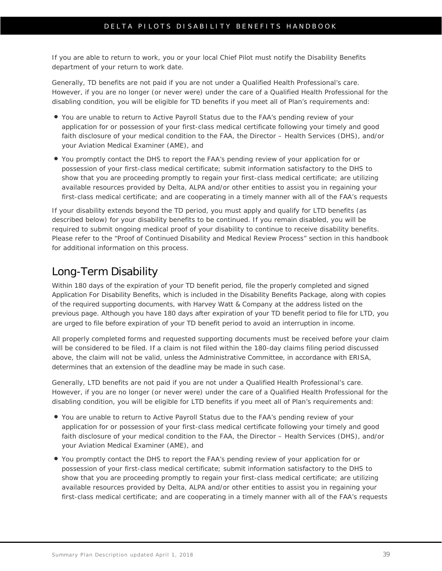If you are able to return to work, you or your local Chief Pilot must notify the Disability Benefits department of your return to work date.

Generally, TD benefits are not paid if you are not under a Qualified Health Professional's care. However, if you are no longer (or never were) under the care of a Qualified Health Professional for the disabling condition, you will be eligible for TD benefits if you meet all of Plan's requirements and:

- You are unable to return to Active Payroll Status due to the FAA's pending review of your application for or possession of your first-class medical certificate following your timely and good faith disclosure of your medical condition to the FAA, the Director – Health Services (DHS), and/or your Aviation Medical Examiner (AME), and
- You promptly contact the DHS to report the FAA's pending review of your application for or possession of your first-class medical certificate; submit information satisfactory to the DHS to show that you are proceeding promptly to regain your first-class medical certificate; are utilizing available resources provided by Delta, ALPA and/or other entities to assist you in regaining your first-class medical certificate; and are cooperating in a timely manner with all of the FAA's requests

If your disability extends beyond the TD period, you must apply and qualify for LTD benefits (as described below) for your disability benefits to be continued. If you remain disabled, you will be required to submit ongoing medical proof of your disability to continue to receive disability benefits. Please refer to the ["Proof of Continued Disability and Medical Review Process" section in this handbook](#page-43-0) for additional information on this process.

### Long-Term Disability

Within 180 days of the expiration of your TD benefit period, file the properly completed and signed Application For Disability Benefits, which is included in the Disability Benefits Package, along with copies of the required supporting documents, with Harvey Watt & Company at the address listed on the previous page. Although you have 180 days after expiration of your TD benefit period to file for LTD, you are urged to file before expiration of your TD benefit period to avoid an interruption in income.

All properly completed forms and requested supporting documents must be received before your claim will be considered to be filed. If a claim is not filed within the 180-day claims filing period discussed above, the claim will not be valid, unless the Administrative Committee, in accordance with ERISA, determines that an extension of the deadline may be made in such case.

Generally, LTD benefits are not paid if you are not under a Qualified Health Professional's care. However, if you are no longer (or never were) under the care of a Qualified Health Professional for the disabling condition, you will be eligible for LTD benefits if you meet all of Plan's requirements and:

- You are unable to return to Active Payroll Status due to the FAA's pending review of your application for or possession of your first-class medical certificate following your timely and good faith disclosure of your medical condition to the FAA, the Director – Health Services (DHS), and/or your Aviation Medical Examiner (AME), and
- You promptly contact the DHS to report the FAA's pending review of your application for or possession of your first-class medical certificate; submit information satisfactory to the DHS to show that you are proceeding promptly to regain your first-class medical certificate; are utilizing available resources provided by Delta, ALPA and/or other entities to assist you in regaining your first-class medical certificate; and are cooperating in a timely manner with all of the FAA's requests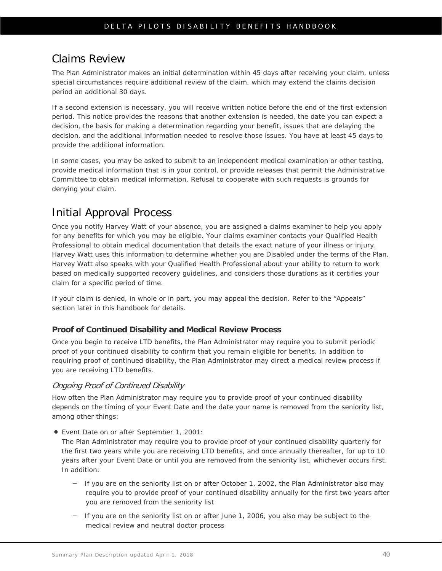### Claims Review

The Plan Administrator makes an initial determination within 45 days after receiving your claim, unless special circumstances require additional review of the claim, which may extend the claims decision period an additional 30 days.

If a second extension is necessary, you will receive written notice before the end of the first extension period. This notice provides the reasons that another extension is needed, the date you can expect a decision, the basis for making a determination regarding your benefit, issues that are delaying the decision, and the additional information needed to resolve those issues. You have at least 45 days to provide the additional information.

In some cases, you may be asked to submit to an independent medical examination or other testing, provide medical information that is in your control, or provide releases that permit the Administrative Committee to obtain medical information. Refusal to cooperate with such requests is grounds for denying your claim.

## Initial Approval Process

Once you notify Harvey Watt of your absence, you are assigned a claims examiner to help you apply for any benefits for which you may be eligible. Your claims examiner contacts your Qualified Health Professional to obtain medical documentation that details the exact nature of your illness or injury. Harvey Watt uses this information to determine whether you are Disabled under the terms of the Plan. Harvey Watt also speaks with your Qualified Health Professional about your ability to return to work based on medically supported recovery guidelines, and considers those durations as it certifies your claim for a specific period of time.

If your claim is denied, in whole or in part, you may appeal the decision. Refer to the ["Appeals"](#page-51-0)  [section later in this handbook](#page-51-0) for details.

#### <span id="page-43-0"></span>**Proof of Continued Disability and Medical Review Process**

Once you begin to receive LTD benefits, the Plan Administrator may require you to submit periodic proof of your continued disability to confirm that you remain eligible for benefits. In addition to requiring proof of continued disability, the Plan Administrator may direct a medical review process if you are receiving LTD benefits.

#### Ongoing Proof of Continued Disability

How often the Plan Administrator may require you to provide proof of your continued disability depends on the timing of your Event Date and the date your name is removed from the seniority list, among other things:

*Event Date on or after September 1, 2001:*

The Plan Administrator may require you to provide proof of your continued disability quarterly for the first two years while you are receiving LTD benefits, and once annually thereafter, for up to 10 years after your Event Date or until you are removed from the seniority list, whichever occurs first. In addition:

- If you are on the seniority list on or after October 1, 2002, the Plan Administrator also may require you to provide proof of your continued disability annually for the first two years after you are removed from the seniority list
- If you are on the seniority list on or after June 1, 2006, you also may be subject to the medical review and neutral doctor process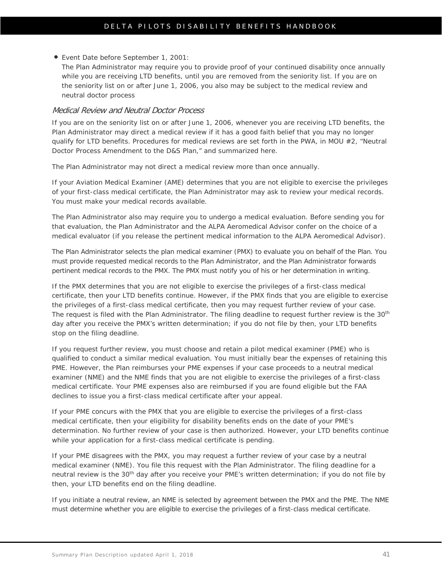*Event Date before September 1, 2001*:

The Plan Administrator may require you to provide proof of your continued disability once annually while you are receiving LTD benefits, until you are removed from the seniority list. If you are on the seniority list on or after June 1, 2006, you also may be subject to the medical review and neutral doctor process

#### <span id="page-44-0"></span>Medical Review and Neutral Doctor Process

If you are on the seniority list on or after June 1, 2006, whenever you are receiving LTD benefits, the Plan Administrator may direct a medical review if it has a good faith belief that you may no longer qualify for LTD benefits. Procedures for medical reviews are set forth in the PWA, in MOU #2, "Neutral Doctor Process Amendment to the D&S Plan," and summarized here.

The Plan Administrator may not direct a medical review more than once annually.

If your Aviation Medical Examiner (AME) determines that you are not eligible to exercise the privileges of your first-class medical certificate, the Plan Administrator may ask to review your medical records. You must make your medical records available.

The Plan Administrator also may require you to undergo a medical evaluation. Before sending you for that evaluation, the Plan Administrator and the ALPA Aeromedical Advisor confer on the choice of a medical evaluator (if you release the pertinent medical information to the ALPA Aeromedical Advisor).

The Plan Administrator selects the plan medical examiner (PMX) to evaluate you on behalf of the Plan. You must provide requested medical records to the Plan Administrator, and the Plan Administrator forwards pertinent medical records to the PMX. The PMX must notify you of his or her determination in writing.

If the PMX determines that you are not eligible to exercise the privileges of a first-class medical certificate, then your LTD benefits continue. However, if the PMX finds that you are eligible to exercise the privileges of a first-class medical certificate, then you may request further review of your case. The request is filed with the Plan Administrator. The filing deadline to request further review is the 30<sup>th</sup> day after you receive the PMX's written determination; if you do not file by then, your LTD benefits stop on the filing deadline.

If you request further review, you must choose and retain a pilot medical examiner (PME) who is qualified to conduct a similar medical evaluation. You must initially bear the expenses of retaining this PME. However, the Plan reimburses your PME expenses if your case proceeds to a neutral medical examiner (NME) and the NME finds that you are not eligible to exercise the privileges of a first-class medical certificate. Your PME expenses also are reimbursed if you are found eligible but the FAA declines to issue you a first-class medical certificate after your appeal.

If your PME concurs with the PMX that you are eligible to exercise the privileges of a first-class medical certificate, then your eligibility for disability benefits ends on the date of your PME's determination. No further review of your case is then authorized. However, your LTD benefits continue while your application for a first-class medical certificate is pending.

If your PME disagrees with the PMX, you may request a further review of your case by a neutral medical examiner (NME). You file this request with the Plan Administrator. The filing deadline for a neutral review is the 30<sup>th</sup> day after you receive your PME's written determination; if you do not file by then, your LTD benefits end on the filing deadline.

If you initiate a neutral review, an NME is selected by agreement between the PMX and the PME. The NME must determine whether you are eligible to exercise the privileges of a first-class medical certificate.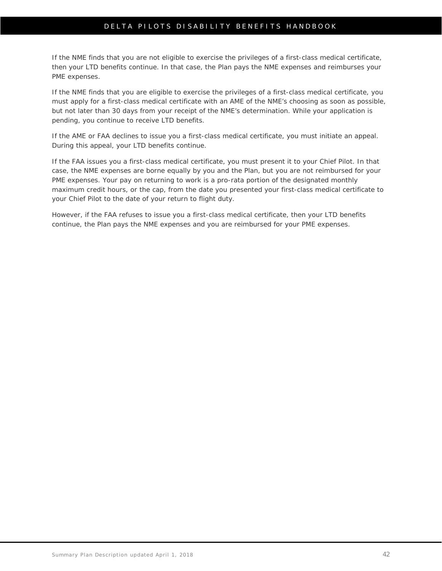If the NME finds that you are not eligible to exercise the privileges of a first-class medical certificate, then your LTD benefits continue. In that case, the Plan pays the NME expenses and reimburses your PME expenses.

If the NME finds that you are eligible to exercise the privileges of a first-class medical certificate, you must apply for a first-class medical certificate with an AME of the NME's choosing as soon as possible, but not later than 30 days from your receipt of the NME's determination. While your application is pending, you continue to receive LTD benefits.

If the AME or FAA declines to issue you a first-class medical certificate, you must initiate an appeal. During this appeal, your LTD benefits continue.

If the FAA issues you a first-class medical certificate, you must present it to your Chief Pilot. In that case, the NME expenses are borne equally by you and the Plan, but you are not reimbursed for your PME expenses. Your pay on returning to work is a pro-rata portion of the designated monthly maximum credit hours, or the cap, from the date you presented your first-class medical certificate to your Chief Pilot to the date of your return to flight duty.

However, if the FAA refuses to issue you a first-class medical certificate, then your LTD benefits continue, the Plan pays the NME expenses and you are reimbursed for your PME expenses.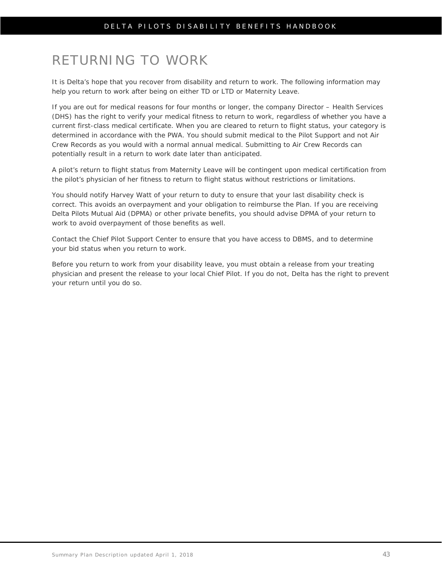# RETURNING TO WORK

It is Delta's hope that you recover from disability and return to work. The following information may help you return to work after being on either TD or LTD or Maternity Leave.

If you are out for medical reasons for four months or longer, the company Director – Health Services (DHS) has the right to verify your medical fitness to return to work, regardless of whether you have a current first-class medical certificate. When you are cleared to return to flight status, your category is determined in accordance with the PWA. You should submit medical to the Pilot Support and not Air Crew Records as you would with a normal annual medical. Submitting to Air Crew Records can potentially result in a return to work date later than anticipated.

A pilot's return to flight status from Maternity Leave will be contingent upon medical certification from the pilot's physician of her fitness to return to flight status without restrictions or limitations.

You should notify Harvey Watt of your return to duty to ensure that your last disability check is correct. This avoids an overpayment and your obligation to reimburse the Plan. If you are receiving Delta Pilots Mutual Aid (DPMA) or other private benefits, you should advise DPMA of your return to work to avoid overpayment of those benefits as well.

Contact the Chief Pilot Support Center to ensure that you have access to DBMS, and to determine your bid status when you return to work.

Before you return to work from your disability leave, you must obtain a release from your treating physician and present the release to your local Chief Pilot. If you do not, Delta has the right to prevent your return until you do so.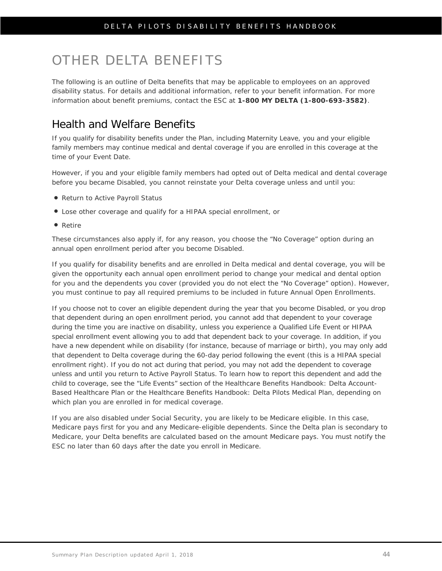# OTHER DELTA BENEFITS

The following is an outline of Delta benefits that may be applicable to employees on an approved disability status. For details and additional information, refer to your benefit information. For more information about benefit premiums, contact the ESC at **1-800 MY DELTA (1-800-693-3582)**.

### Health and Welfare Benefits

If you qualify for disability benefits under the Plan, including Maternity Leave, you and your eligible family members may continue medical and dental coverage if you are enrolled in this coverage at the time of your Event Date.

However, if you and your eligible family members had opted out of Delta medical and dental coverage before you became Disabled, you cannot reinstate your Delta coverage unless and until you:

- Return to Active Payroll Status
- Lose other coverage and qualify for a HIPAA special enrollment, or
- Retire

These circumstances also apply if, for any reason, you choose the "No Coverage" option during an annual open enrollment period after you become Disabled.

If you qualify for disability benefits and are enrolled in Delta medical and dental coverage, you will be given the opportunity each annual open enrollment period to change your medical and dental option for you and the dependents you cover (provided you do not elect the "No Coverage" option). However, you must continue to pay all required premiums to be included in future Annual Open Enrollments.

If you choose not to cover an eligible dependent during the year that you become Disabled, or you drop that dependent during an open enrollment period, you cannot add that dependent to your coverage during the time you are inactive on disability, unless you experience a Qualified Life Event or HIPAA special enrollment event allowing you to add that dependent back to your coverage. In addition, if you have a new dependent while on disability (for instance, because of marriage or birth), you may only add that dependent to Delta coverage during the 60-day period following the event (this is a HIPAA special enrollment right). If you do not act during that period, you may not add the dependent to coverage unless and until you return to Active Payroll Status. To learn how to report this dependent and add the child to coverage, see the "Life Events" section of the *Healthcare Benefits Handbook: Delta Account-Based Healthcare Plan* or the *Healthcare Benefits Handbook: Delta Pilots Medical Plan*, depending on which plan you are enrolled in for medical coverage.

If you are also disabled under Social Security, you are likely to be Medicare eligible. In this case, Medicare pays first for you and any Medicare-eligible dependents. Since the Delta plan is secondary to Medicare, your Delta benefits are calculated based on the amount Medicare pays. You must notify the ESC no later than 60 days after the date you enroll in Medicare.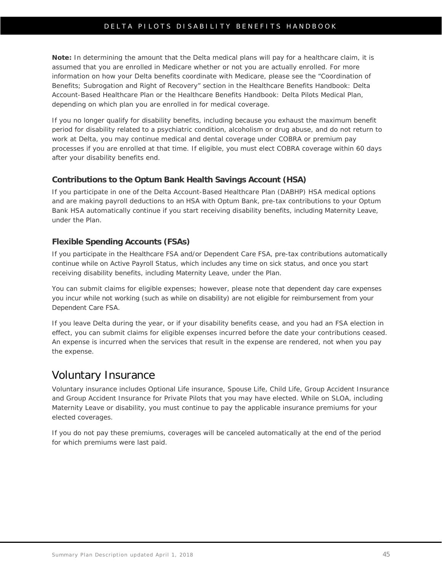**Note:** In determining the amount that the Delta medical plans will pay for a healthcare claim, it is assumed that you are enrolled in Medicare whether or not you are actually enrolled. For more information on how your Delta benefits coordinate with Medicare, please see the "Coordination of Benefits; Subrogation and Right of Recovery" section in the *Healthcare Benefits Handbook: Delta Account-Based Healthcare Plan* or the *Healthcare Benefits Handbook: Delta Pilots Medical Plan*, depending on which plan you are enrolled in for medical coverage.

If you no longer qualify for disability benefits, including because you exhaust the maximum benefit period for disability related to a psychiatric condition, alcoholism or drug abuse, and do not return to work at Delta, you may continue medical and dental coverage under COBRA or premium pay processes if you are enrolled at that time. If eligible, you must elect COBRA coverage within 60 days after your disability benefits end.

#### **Contributions to the Optum Bank Health Savings Account (HSA)**

If you participate in one of the Delta Account-Based Healthcare Plan (DABHP) HSA medical options and are making payroll deductions to an HSA with Optum Bank, pre-tax contributions to your Optum Bank HSA automatically continue if you start receiving disability benefits, including Maternity Leave, under the Plan.

#### **Flexible Spending Accounts (FSAs)**

If you participate in the Healthcare FSA and/or Dependent Care FSA, pre-tax contributions automatically continue while on Active Payroll Status, which includes any time on sick status, and once you start receiving disability benefits, including Maternity Leave, under the Plan.

You can submit claims for eligible expenses; however, please note that dependent day care expenses you incur while not working (such as while on disability) are not eligible for reimbursement from your Dependent Care FSA.

If you leave Delta during the year, or if your disability benefits cease, and you had an FSA election in effect, you can submit claims for eligible expenses incurred before the date your contributions ceased. An expense is incurred when the services that result in the expense are rendered, not when you pay the expense.

### Voluntary Insurance

Voluntary insurance includes Optional Life insurance, Spouse Life, Child Life, Group Accident Insurance and Group Accident Insurance for Private Pilots that you may have elected. While on SLOA, including Maternity Leave or disability, you must continue to pay the applicable insurance premiums for your elected coverages.

If you do not pay these premiums, coverages will be canceled automatically at the end of the period for which premiums were last paid.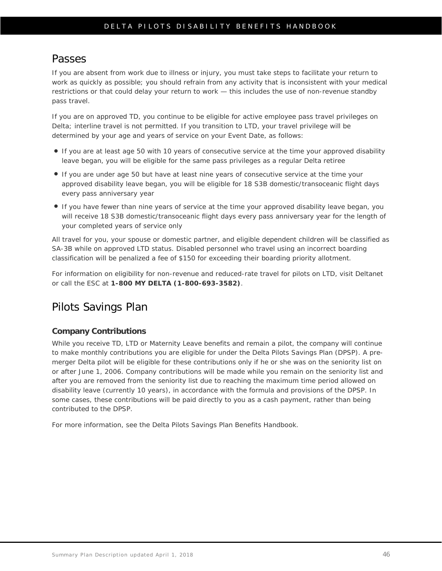### Passes

If you are absent from work due to illness or injury, you must take steps to facilitate your return to work as quickly as possible; you should refrain from any activity that is inconsistent with your medical restrictions or that could delay your return to work — this includes the use of non-revenue standby pass travel.

If you are on approved TD, you continue to be eligible for active employee pass travel privileges on Delta; interline travel is not permitted. If you transition to LTD, your travel privilege will be determined by your age and years of service on your Event Date, as follows:

- If you are at least age 50 with 10 years of consecutive service at the time your approved disability leave began, you will be eligible for the same pass privileges as a regular Delta retiree
- If you are under age 50 but have at least nine years of consecutive service at the time your approved disability leave began, you will be eligible for 18 S3B domestic/transoceanic flight days every pass anniversary year
- If you have fewer than nine years of service at the time your approved disability leave began, you will receive 18 S3B domestic/transoceanic flight days every pass anniversary year for the length of your completed years of service only

All travel for you, your spouse or domestic partner, and eligible dependent children will be classified as SA-3B while on approved LTD status. Disabled personnel who travel using an incorrect boarding classification will be penalized a fee of \$150 for exceeding their boarding priority allotment.

For information on eligibility for non-revenue and reduced-rate travel for pilots on LTD, visit Deltanet or call the ESC at **1-800 MY DELTA (1-800-693-3582)**.

## Pilots Savings Plan

#### **Company Contributions**

While you receive TD, LTD or Maternity Leave benefits and remain a pilot, the company will continue to make monthly contributions you are eligible for under the Delta Pilots Savings Plan (DPSP). A premerger Delta pilot will be eligible for these contributions only if he or she was on the seniority list on or after June 1, 2006. Company contributions will be made while you remain on the seniority list and after you are removed from the seniority list due to reaching the maximum time period allowed on disability leave (currently 10 years), in accordance with the formula and provisions of the DPSP. In some cases, these contributions will be paid directly to you as a cash payment, rather than being contributed to the DPSP.

For more information, see the *Delta Pilots Savings Plan Benefits Handbook*.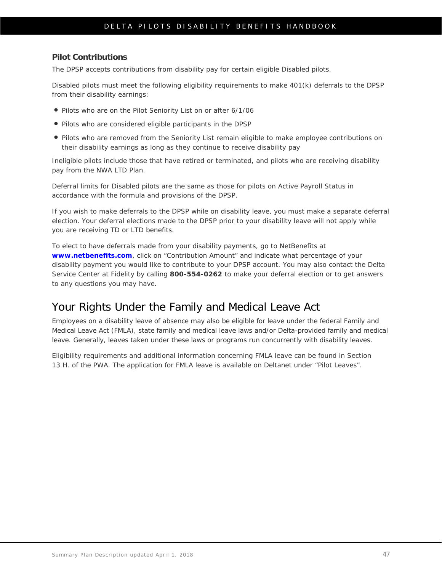#### **Pilot Contributions**

The DPSP accepts contributions from disability pay for certain eligible Disabled pilots.

Disabled pilots must meet the following eligibility requirements to make 401(k) deferrals to the DPSP from their disability earnings:

- Pilots who are on the Pilot Seniority List on or after 6/1/06
- Pilots who are considered eligible participants in the DPSP
- Pilots who are removed from the Seniority List remain eligible to make employee contributions on their disability earnings as long as they continue to receive disability pay

Ineligible pilots include those that have retired or terminated, and pilots who are receiving disability pay from the NWA LTD Plan.

Deferral limits for Disabled pilots are the same as those for pilots on Active Payroll Status in accordance with the formula and provisions of the DPSP.

If you wish to make deferrals to the DPSP while on disability leave, you must make a separate deferral election. Your deferral elections made to the DPSP prior to your disability leave *will not apply* while you are receiving TD or LTD benefits.

To elect to have deferrals made from your disability payments, go to NetBenefits at **[www.netbenefits.com](http://www.netbenefits.com/)**, click on "Contribution Amount" and indicate what percentage of your disability payment you would like to contribute to your DPSP account. You may also contact the Delta Service Center at Fidelity by calling **800-554-0262** to make your deferral election or to get answers to any questions you may have.

### Your Rights Under the Family and Medical Leave Act

Employees on a disability leave of absence may also be eligible for leave under the federal Family and Medical Leave Act (FMLA), state family and medical leave laws and/or Delta-provided family and medical leave. Generally, leaves taken under these laws or programs run concurrently with disability leaves.

Eligibility requirements and additional information concerning FMLA leave can be found in Section 13 H. of the PWA. The application for FMLA leave is available on Deltanet under "Pilot Leaves".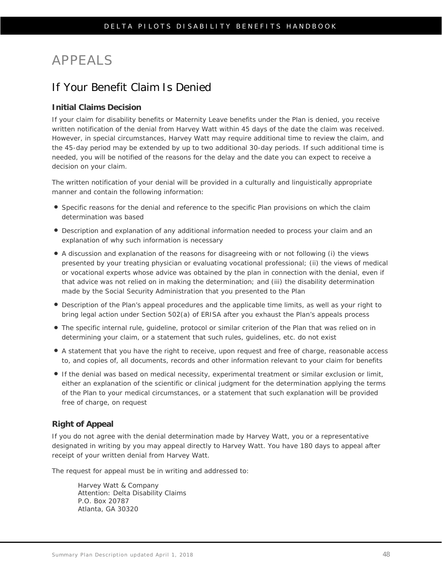# <span id="page-51-0"></span>APPEALS

### If Your Benefit Claim Is Denied

#### **Initial Claims Decision**

If your claim for disability benefits or Maternity Leave benefits under the Plan is denied, you receive written notification of the denial from Harvey Watt within 45 days of the date the claim was received. However, in special circumstances, Harvey Watt may require additional time to review the claim, and the 45-day period may be extended by up to two additional 30-day periods. If such additional time is needed, you will be notified of the reasons for the delay and the date you can expect to receive a decision on your claim.

The written notification of your denial will be provided in a culturally and linguistically appropriate manner and contain the following information:

- Specific reasons for the denial and reference to the specific Plan provisions on which the claim determination was based
- Description and explanation of any additional information needed to process your claim and an explanation of why such information is necessary
- A discussion and explanation of the reasons for disagreeing with or not following (i) the views presented by your treating physician or evaluating vocational professional; (ii) the views of medical or vocational experts whose advice was obtained by the plan in connection with the denial, even if that advice was not relied on in making the determination; and (iii) the disability determination made by the Social Security Administration that you presented to the Plan
- Description of the Plan's appeal procedures and the applicable time limits, as well as your right to bring legal action under Section 502(a) of ERISA after you exhaust the Plan's appeals process
- The specific internal rule, guideline, protocol or similar criterion of the Plan that was relied on in determining your claim, or a statement that such rules, guidelines, etc. do not exist
- A statement that you have the right to receive, upon request and free of charge, reasonable access to, and copies of, all documents, records and other information relevant to your claim for benefits
- If the denial was based on medical necessity, experimental treatment or similar exclusion or limit, either an explanation of the scientific or clinical judgment for the determination applying the terms of the Plan to your medical circumstances, or a statement that such explanation will be provided free of charge, on request

#### **Right of Appeal**

If you do not agree with the denial determination made by Harvey Watt, you or a representative designated in writing by you may appeal directly to Harvey Watt. You have 180 days to appeal after receipt of your written denial from Harvey Watt.

The request for appeal must be in writing and addressed to:

Harvey Watt & Company Attention: Delta Disability Claims P.O. Box 20787 Atlanta, GA 30320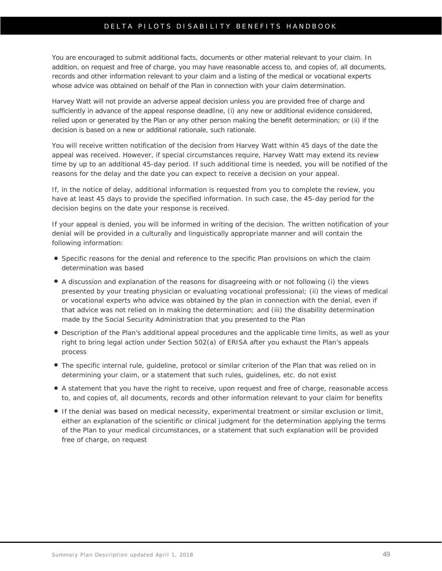You are encouraged to submit additional facts, documents or other material relevant to your claim. In addition, on request and free of charge, you may have reasonable access to, and copies of, all documents, records and other information relevant to your claim and a listing of the medical or vocational experts whose advice was obtained on behalf of the Plan in connection with your claim determination.

Harvey Watt will not provide an adverse appeal decision unless you are provided free of charge and sufficiently in advance of the appeal response deadline, (i) any new or additional evidence considered, relied upon or generated by the Plan or any other person making the benefit determination; or (ii) if the decision is based on a new or additional rationale, such rationale.

You will receive written notification of the decision from Harvey Watt within 45 days of the date the appeal was received. However, if special circumstances require, Harvey Watt may extend its review time by up to an additional 45-day period. If such additional time is needed, you will be notified of the reasons for the delay and the date you can expect to receive a decision on your appeal.

If, in the notice of delay, additional information is requested from you to complete the review, you have at least 45 days to provide the specified information. In such case, the 45-day period for the decision begins on the date your response is received.

If your appeal is denied, you will be informed in writing of the decision. The written notification of your denial will be provided in a culturally and linguistically appropriate manner and will contain the following information:

- Specific reasons for the denial and reference to the specific Plan provisions on which the claim determination was based
- A discussion and explanation of the reasons for disagreeing with or not following (i) the views presented by your treating physician or evaluating vocational professional; (ii) the views of medical or vocational experts who advice was obtained by the plan in connection with the denial, even if that advice was not relied on in making the determination; and (iii) the disability determination made by the Social Security Administration that you presented to the Plan
- Description of the Plan's additional appeal procedures and the applicable time limits, as well as your right to bring legal action under Section 502(a) of ERISA after you exhaust the Plan's appeals process
- The specific internal rule, guideline, protocol or similar criterion of the Plan that was relied on in determining your claim, or a statement that such rules, guidelines, etc. do not exist
- A statement that you have the right to receive, upon request and free of charge, reasonable access to, and copies of, all documents, records and other information relevant to your claim for benefits
- If the denial was based on medical necessity, experimental treatment or similar exclusion or limit, either an explanation of the scientific or clinical judgment for the determination applying the terms of the Plan to your medical circumstances, or a statement that such explanation will be provided free of charge, on request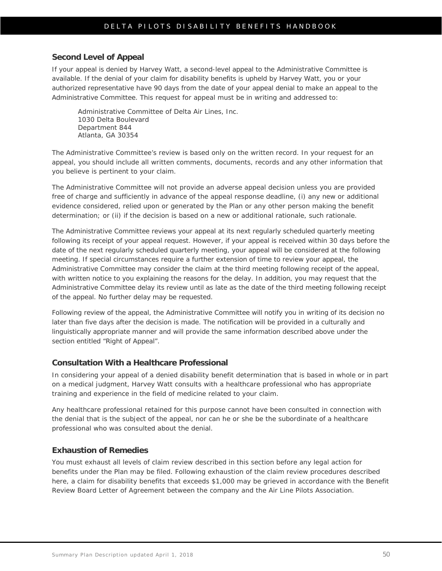#### **Second Level of Appeal**

If your appeal is denied by Harvey Watt, a second-level appeal to the Administrative Committee is available. If the denial of your claim for disability benefits is upheld by Harvey Watt, you or your authorized representative have 90 days from the date of your appeal denial to make an appeal to the Administrative Committee. This request for appeal must be in writing and addressed to:

Administrative Committee of Delta Air Lines, Inc. 1030 Delta Boulevard Department 844 Atlanta, GA 30354

The Administrative Committee's review is based only on the written record. In your request for an appeal, you should include all written comments, documents, records and any other information that you believe is pertinent to your claim.

The Administrative Committee will not provide an adverse appeal decision unless you are provided free of charge and sufficiently in advance of the appeal response deadline, (i) any new or additional evidence considered, relied upon or generated by the Plan or any other person making the benefit determination; or (ii) if the decision is based on a new or additional rationale, such rationale.

The Administrative Committee reviews your appeal at its next regularly scheduled quarterly meeting following its receipt of your appeal request. However, if your appeal is received within 30 days before the date of the next regularly scheduled quarterly meeting, your appeal will be considered at the following meeting. If special circumstances require a further extension of time to review your appeal, the Administrative Committee may consider the claim at the third meeting following receipt of the appeal, with written notice to you explaining the reasons for the delay. In addition, you may request that the Administrative Committee delay its review until as late as the date of the third meeting following receipt of the appeal. No further delay may be requested.

Following review of the appeal, the Administrative Committee will notify you in writing of its decision no later than five days after the decision is made. The notification will be provided in a culturally and linguistically appropriate manner and will provide the same information described above under the section entitled "Right of Appeal".

#### **Consultation With a Healthcare Professional**

In considering your appeal of a denied disability benefit determination that is based in whole or in part on a medical judgment, Harvey Watt consults with a healthcare professional who has appropriate training and experience in the field of medicine related to your claim.

Any healthcare professional retained for this purpose cannot have been consulted in connection with the denial that is the subject of the appeal, nor can he or she be the subordinate of a healthcare professional who was consulted about the denial.

#### **Exhaustion of Remedies**

You must exhaust all levels of claim review described in this section before any legal action for benefits under the Plan may be filed. Following exhaustion of the claim review procedures described here, a claim for disability benefits that exceeds \$1,000 may be grieved in accordance with the Benefit Review Board Letter of Agreement between the company and the Air Line Pilots Association.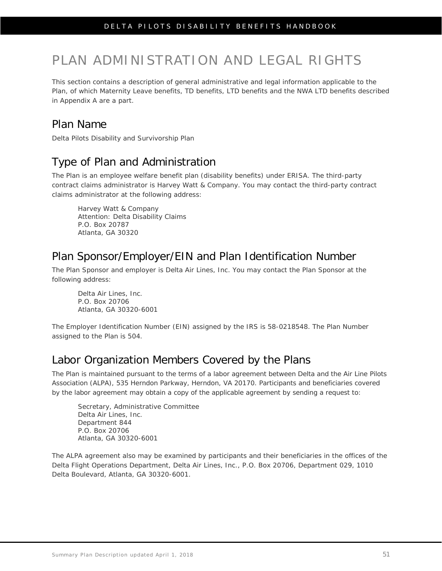# PLAN ADMINISTRATION AND LEGAL RIGHTS

This section contains a description of general administrative and legal information applicable to the Plan, of which Maternity Leave benefits, TD benefits, LTD benefits and the NWA LTD benefits described in Appendix A are a part.

### Plan Name

Delta Pilots Disability and Survivorship Plan

## Type of Plan and Administration

The Plan is an employee welfare benefit plan (disability benefits) under ERISA. The third-party contract claims administrator is Harvey Watt & Company. You may contact the third-party contract claims administrator at the following address:

Harvey Watt & Company Attention: Delta Disability Claims P.O. Box 20787 Atlanta, GA 30320

### Plan Sponsor/Employer/EIN and Plan Identification Number

The Plan Sponsor and employer is Delta Air Lines, Inc. You may contact the Plan Sponsor at the following address:

Delta Air Lines, Inc. P.O. Box 20706 Atlanta, GA 30320-6001

The Employer Identification Number (EIN) assigned by the IRS is 58-0218548. The Plan Number assigned to the Plan is 504.

## Labor Organization Members Covered by the Plans

The Plan is maintained pursuant to the terms of a labor agreement between Delta and the Air Line Pilots Association (ALPA), 535 Herndon Parkway, Herndon, VA 20170. Participants and beneficiaries covered by the labor agreement may obtain a copy of the applicable agreement by sending a request to:

Secretary, Administrative Committee Delta Air Lines, Inc. Department 844 P.O. Box 20706 Atlanta, GA 30320-6001

The ALPA agreement also may be examined by participants and their beneficiaries in the offices of the Delta Flight Operations Department, Delta Air Lines, Inc., P.O. Box 20706, Department 029, 1010 Delta Boulevard, Atlanta, GA 30320-6001.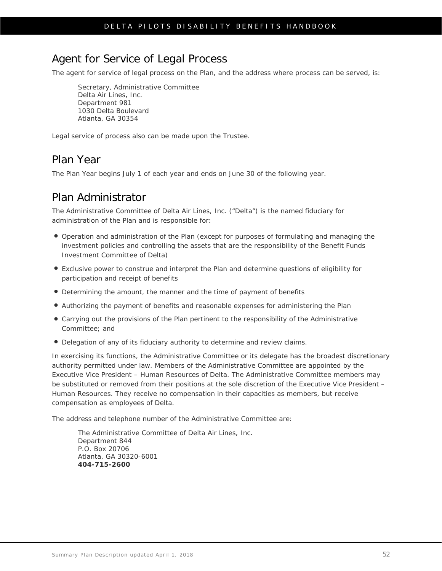### Agent for Service of Legal Process

The agent for service of legal process on the Plan, and the address where process can be served, is:

Secretary, Administrative Committee Delta Air Lines, Inc. Department 981 1030 Delta Boulevard Atlanta, GA 30354

Legal service of process also can be made upon the Trustee.

### Plan Year

The Plan Year begins July 1 of each year and ends on June 30 of the following year.

### Plan Administrator

The Administrative Committee of Delta Air Lines, Inc. ("Delta") is the named fiduciary for administration of the Plan and is responsible for:

- Operation and administration of the Plan (except for purposes of formulating and managing the investment policies and controlling the assets that are the responsibility of the Benefit Funds Investment Committee of Delta)
- Exclusive power to construe and interpret the Plan and determine questions of eligibility for participation and receipt of benefits
- Determining the amount, the manner and the time of payment of benefits
- Authorizing the payment of benefits and reasonable expenses for administering the Plan
- Carrying out the provisions of the Plan pertinent to the responsibility of the Administrative Committee; and
- Delegation of any of its fiduciary authority to determine and review claims.

In exercising its functions, the Administrative Committee or its delegate has the broadest discretionary authority permitted under law. Members of the Administrative Committee are appointed by the Executive Vice President – Human Resources of Delta. The Administrative Committee members may be substituted or removed from their positions at the sole discretion of the Executive Vice President – Human Resources. They receive no compensation in their capacities as members, but receive compensation as employees of Delta.

The address and telephone number of the Administrative Committee are:

The Administrative Committee of Delta Air Lines, Inc. Department 844 P.O. Box 20706 Atlanta, GA 30320-6001 **404-715-2600**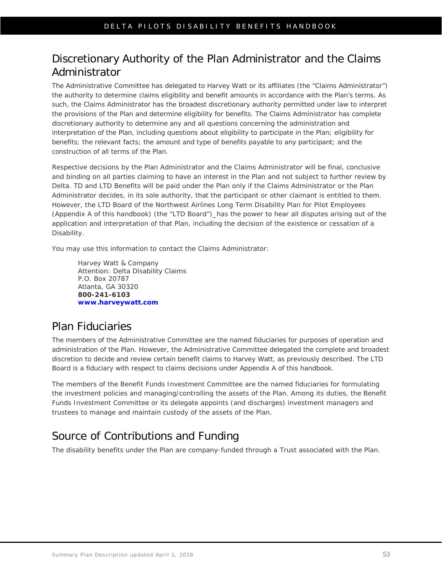## Discretionary Authority of the Plan Administrator and the Claims Administrator

The Administrative Committee has delegated to Harvey Watt or its affiliates (the "Claims Administrator") the authority to determine claims eligibility and benefit amounts in accordance with the Plan's terms. As such, the Claims Administrator has the broadest discretionary authority permitted under law to interpret the provisions of the Plan and determine eligibility for benefits. The Claims Administrator has complete discretionary authority to determine any and all questions concerning the administration and interpretation of the Plan, including questions about eligibility to participate in the Plan; eligibility for benefits; the relevant facts; the amount and type of benefits payable to any participant; and the construction of all terms of the Plan.

Respective decisions by the Plan Administrator and the Claims Administrator will be final, conclusive and binding on all parties claiming to have an interest in the Plan and not subject to further review by Delta. TD and LTD Benefits will be paid under the Plan only if the Claims Administrator or the Plan Administrator decides, in its sole authority, that the participant or other claimant is entitled to them. However, the LTD Board of the Northwest Airlines Long Term Disability Plan for Pilot Employees (Appendix A of this handbook) (the "LTD Board")\_has the power to hear all disputes arising out of the application and interpretation of that Plan, including the decision of the existence or cessation of a Disability.

You may use this information to contact the Claims Administrator:

Harvey Watt & Company Attention: Delta Disability Claims P.O. Box 20787 Atlanta, GA 30320 **800-241-6103 [www.harveywatt.com](http://www.harveywatt.com/)**

# Plan Fiduciaries

The members of the Administrative Committee are the named fiduciaries for purposes of operation and administration of the Plan. However, the Administrative Committee delegated the complete and broadest discretion to decide and review certain benefit claims to Harvey Watt, as previously described. The LTD Board is a fiduciary with respect to claims decisions under Appendix A of this handbook.

The members of the Benefit Funds Investment Committee are the named fiduciaries for formulating the investment policies and managing/controlling the assets of the Plan. Among its duties, the Benefit Funds Investment Committee or its delegate appoints (and discharges) investment managers and trustees to manage and maintain custody of the assets of the Plan.

## Source of Contributions and Funding

The disability benefits under the Plan are company-funded through a Trust associated with the Plan.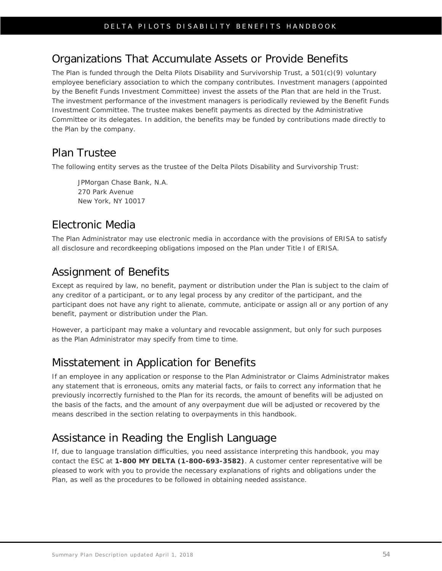## Organizations That Accumulate Assets or Provide Benefits

The Plan is funded through the Delta Pilots Disability and Survivorship Trust, a 501(c)(9) voluntary employee beneficiary association to which the company contributes. Investment managers (appointed by the Benefit Funds Investment Committee) invest the assets of the Plan that are held in the Trust. The investment performance of the investment managers is periodically reviewed by the Benefit Funds Investment Committee. The trustee makes benefit payments as directed by the Administrative Committee or its delegates. In addition, the benefits may be funded by contributions made directly to the Plan by the company.

### Plan Trustee

The following entity serves as the trustee of the Delta Pilots Disability and Survivorship Trust:

JPMorgan Chase Bank, N.A. 270 Park Avenue New York, NY 10017

## Electronic Media

The Plan Administrator may use electronic media in accordance with the provisions of ERISA to satisfy all disclosure and recordkeeping obligations imposed on the Plan under Title I of ERISA.

## Assignment of Benefits

Except as required by law, no benefit, payment or distribution under the Plan is subject to the claim of any creditor of a participant, or to any legal process by any creditor of the participant, and the participant does not have any right to alienate, commute, anticipate or assign all or any portion of any benefit, payment or distribution under the Plan.

However, a participant may make a voluntary and revocable assignment, but only for such purposes as the Plan Administrator may specify from time to time.

## Misstatement in Application for Benefits

If an employee in any application or response to the Plan Administrator or Claims Administrator makes any statement that is erroneous, omits any material facts, or fails to correct any information that he previously incorrectly furnished to the Plan for its records, the amount of benefits will be adjusted on the basis of the facts, and the amount of any overpayment due will be adjusted or recovered by the means described in the section relating to overpayments in this handbook.

# Assistance in Reading the English Language

If, due to language translation difficulties, you need assistance interpreting this handbook, you may contact the ESC at **1-800 MY DELTA (1-800-693-3582)**. A customer center representative will be pleased to work with you to provide the necessary explanations of rights and obligations under the Plan, as well as the procedures to be followed in obtaining needed assistance.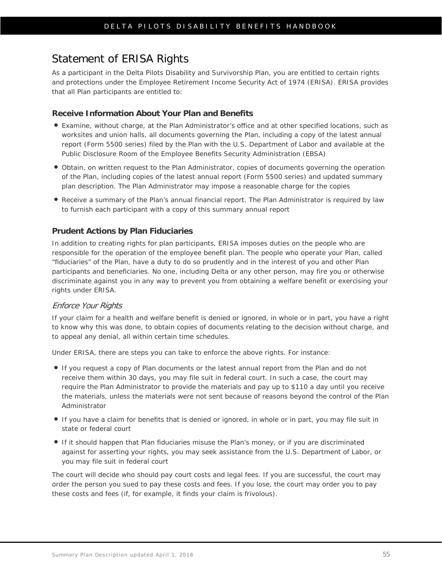### Statement of ERISA Rights

As a participant in the Delta Pilots Disability and Survivorship Plan, you are entitled to certain rights and protections under the Employee Retirement Income Security Act of 1974 (ERISA). ERISA provides that all Plan participants are entitled to:

#### **Receive Information About Your Plan and Benefits**

- Examine, without charge, at the Plan Administrator's office and at other specified locations, such as worksites and union halls, all documents governing the Plan, including a copy of the latest annual report (Form 5500 series) filed by the Plan with the U.S. Department of Labor and available at the Public Disclosure Room of the Employee Benefits Security Administration (EBSA)
- Obtain, on written request to the Plan Administrator, copies of documents governing the operation of the Plan, including copies of the latest annual report (Form 5500 series) and updated summary plan description. The Plan Administrator may impose a reasonable charge for the copies
- Receive a summary of the Plan's annual financial report. The Plan Administrator is required by law to furnish each participant with a copy of this summary annual report

#### **Prudent Actions by Plan Fiduciaries**

In addition to creating rights for plan participants, ERISA imposes duties on the people who are responsible for the operation of the employee benefit plan. The people who operate your Plan, called "fiduciaries" of the Plan, have a duty to do so prudently and in the interest of you and other Plan participants and beneficiaries. No one, including Delta or any other person, may fire you or otherwise discriminate against you in any way to prevent you from obtaining a welfare benefit or exercising your rights under ERISA.

#### Enforce Your Rights

If your claim for a health and welfare benefit is denied or ignored, in whole or in part, you have a right to know why this was done, to obtain copies of documents relating to the decision without charge, and to appeal any denial, all within certain time schedules.

Under ERISA, there are steps you can take to enforce the above rights. For instance:

- If you request a copy of Plan documents or the latest annual report from the Plan and do not receive them within 30 days, you may file suit in federal court. In such a case, the court may require the Plan Administrator to provide the materials and pay up to \$110 a day until you receive the materials, unless the materials were not sent because of reasons beyond the control of the Plan Administrator
- If you have a claim for benefits that is denied or ignored, in whole or in part, you may file suit in state or federal court
- If it should happen that Plan fiduciaries misuse the Plan's money, or if you are discriminated against for asserting your rights, you may seek assistance from the U.S. Department of Labor, or you may file suit in federal court

The court will decide who should pay court costs and legal fees. If you are successful, the court may order the person you sued to pay these costs and fees. If you lose, the court may order you to pay these costs and fees (if, for example, it finds your claim is frivolous).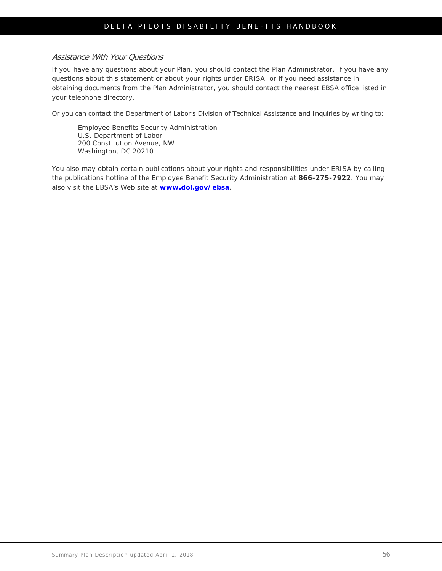#### Assistance With Your Questions

If you have any questions about your Plan, you should contact the Plan Administrator. If you have any questions about this statement or about your rights under ERISA, or if you need assistance in obtaining documents from the Plan Administrator, you should contact the nearest EBSA office listed in your telephone directory.

Or you can contact the Department of Labor's Division of Technical Assistance and Inquiries by writing to:

Employee Benefits Security Administration U.S. Department of Labor 200 Constitution Avenue, NW Washington, DC 20210

You also may obtain certain publications about your rights and responsibilities under ERISA by calling the publications hotline of the Employee Benefit Security Administration at **866-275-7922**. You may also visit the EBSA's Web site at **[www.dol.gov/ebsa](http://www.dol.gov/ebsa)**.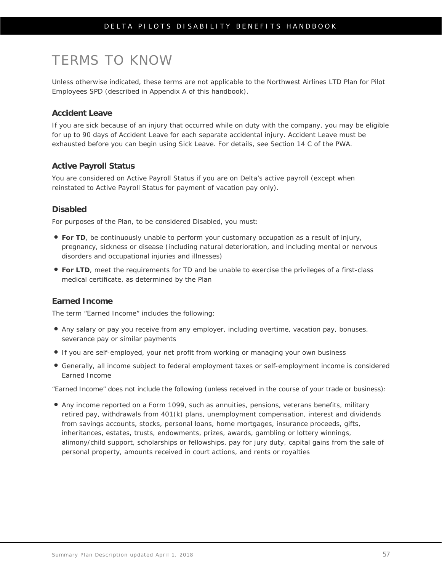# TERMS TO KNOW

Unless otherwise indicated, these terms are not applicable to the Northwest Airlines LTD Plan for Pilot Employees SPD (described in Appendix A of this handbook).

#### **Accident Leave**

If you are sick because of an injury that occurred while on duty with the company, you may be eligible for up to 90 days of Accident Leave for each separate accidental injury. Accident Leave must be exhausted before you can begin using Sick Leave. For details, see Section 14 C of the PWA.

#### **Active Payroll Status**

You are considered on Active Payroll Status if you are on Delta's active payroll (except when reinstated to Active Payroll Status for payment of vacation pay only).

#### **Disabled**

For purposes of the Plan, to be considered Disabled, you must:

- **For TD**, be continuously unable to perform your customary occupation as a result of injury, pregnancy, sickness or disease (including natural deterioration, and including mental or nervous disorders and occupational injuries and illnesses)
- **For LTD**, meet the requirements for TD and be unable to exercise the privileges of a first-class medical certificate, as determined by the Plan

#### **Earned Income**

The term "Earned Income" includes the following:

- Any salary or pay you receive from any employer, including overtime, vacation pay, bonuses, severance pay or similar payments
- If you are self-employed, your net profit from working or managing your own business
- Generally, all income subject to federal employment taxes or self-employment income is considered Earned Income

"Earned Income" does *not* include the following (unless received in the course of your trade or business):

 Any income reported on a Form 1099, such as annuities, pensions, veterans benefits, military retired pay, withdrawals from 401(k) plans, unemployment compensation, interest and dividends from savings accounts, stocks, personal loans, home mortgages, insurance proceeds, gifts, inheritances, estates, trusts, endowments, prizes, awards, gambling or lottery winnings, alimony/child support, scholarships or fellowships, pay for jury duty, capital gains from the sale of personal property, amounts received in court actions, and rents or royalties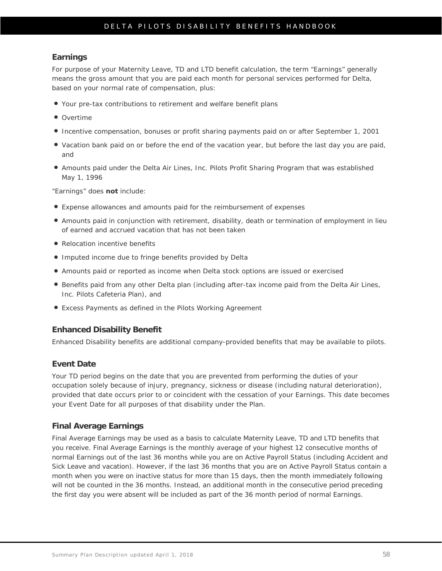#### **Earnings**

For purpose of your Maternity Leave, TD and LTD benefit calculation, the term "Earnings" generally means the gross amount that you are paid each month for personal services performed for Delta, based on your normal rate of compensation, plus:

- Your pre-tax contributions to retirement and welfare benefit plans
- Overtime
- Incentive compensation, bonuses or profit sharing payments paid on or after September 1, 2001
- Vacation bank paid on or before the end of the vacation year, but before the last day you are paid, and
- Amounts paid under the Delta Air Lines, Inc. Pilots Profit Sharing Program that was established May 1, 1996

"Earnings" does **not** include:

- Expense allowances and amounts paid for the reimbursement of expenses
- Amounts paid in conjunction with retirement, disability, death or termination of employment in lieu of earned and accrued vacation that has not been taken
- Relocation incentive benefits
- Imputed income due to fringe benefits provided by Delta
- Amounts paid or reported as income when Delta stock options are issued or exercised
- **•** Benefits paid from any other Delta plan (including after-tax income paid from the Delta Air Lines, Inc. Pilots Cafeteria Plan), and
- Excess Payments as defined in the Pilots Working Agreement

#### **Enhanced Disability Benefit**

Enhanced Disability benefits are additional company-provided benefits that may be available to pilots.

#### **Event Date**

Your TD period begins on the date that you are prevented from performing the duties of your occupation solely because of injury, pregnancy, sickness or disease (including natural deterioration), provided that date occurs prior to or coincident with the cessation of your Earnings. This date becomes your Event Date for all purposes of that disability under the Plan.

#### **Final Average Earnings**

Final Average Earnings may be used as a basis to calculate Maternity Leave, TD and LTD benefits that you receive. Final Average Earnings is the monthly average of your highest 12 consecutive months of normal Earnings out of the last 36 months while you are on Active Payroll Status (including Accident and Sick Leave and vacation). However, if the last 36 months that you are on Active Payroll Status contain a month when you were on inactive status for more than 15 days, then the month immediately following will not be counted in the 36 months. Instead, an additional month in the consecutive period preceding the first day you were absent will be included as part of the 36 month period of normal Earnings.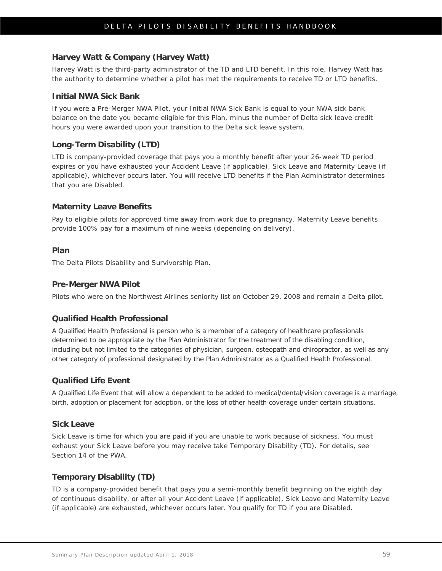#### **Harvey Watt & Company (Harvey Watt)**

Harvey Watt is the third-party administrator of the TD and LTD benefit. In this role, Harvey Watt has the authority to determine whether a pilot has met the requirements to receive TD or LTD benefits.

#### **Initial NWA Sick Bank**

If you were a Pre-Merger NWA Pilot, your Initial NWA Sick Bank is equal to your NWA sick bank balance on the date you became eligible for this Plan, minus the number of Delta sick leave credit hours you were awarded upon your transition to the Delta sick leave system.

#### **Long-Term Disability (LTD)**

LTD is company-provided coverage that pays you a monthly benefit after your 26-week TD period expires or you have exhausted your Accident Leave (if applicable), Sick Leave and Maternity Leave (if applicable), whichever occurs later. You will receive LTD benefits if the Plan Administrator determines that you are Disabled.

#### **Maternity Leave Benefits**

Pay to eligible pilots for approved time away from work due to pregnancy. Maternity Leave benefits provide 100% pay for a maximum of nine weeks (depending on delivery).

#### **Plan**

The Delta Pilots Disability and Survivorship Plan.

#### **Pre-Merger NWA Pilot**

Pilots who were on the Northwest Airlines seniority list on October 29, 2008 and remain a Delta pilot.

#### **Qualified Health Professional**

A Qualified Health Professional is person who is a member of a category of healthcare professionals determined to be appropriate by the Plan Administrator for the treatment of the disabling condition, including but not limited to the categories of physician, surgeon, osteopath and chiropractor, as well as any other category of professional designated by the Plan Administrator as a Qualified Health Professional.

#### **Qualified Life Event**

A Qualified Life Event that will allow a dependent to be added to medical/dental/vision coverage is a marriage, birth, adoption or placement for adoption, or the loss of other health coverage under certain situations.

#### **Sick Leave**

Sick Leave is time for which you are paid if you are unable to work because of sickness. You must exhaust your Sick Leave before you may receive take Temporary Disability (TD). For details, see Section 14 of the PWA.

#### **Temporary Disability (TD)**

TD is a company-provided benefit that pays you a semi-monthly benefit beginning on the eighth day of continuous disability, or after all your Accident Leave (if applicable), Sick Leave and Maternity Leave (if applicable) are exhausted, whichever occurs later. You qualify for TD if you are Disabled.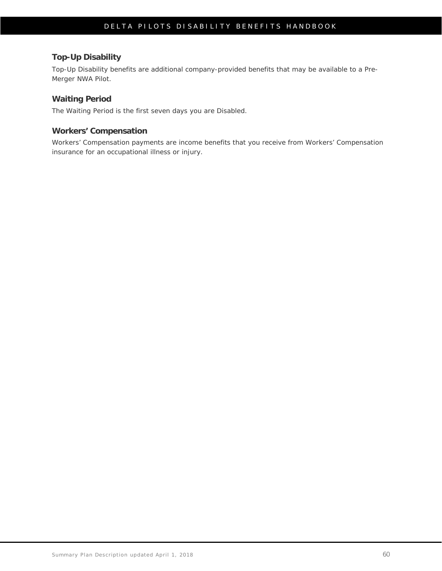#### **Top-Up Disability**

Top-Up Disability benefits are additional company-provided benefits that may be available to a Pre-Merger NWA Pilot.

#### **Waiting Period**

The Waiting Period is the first seven days you are Disabled.

#### **Workers' Compensation**

Workers' Compensation payments are income benefits that you receive from Workers' Compensation insurance for an occupational illness or injury.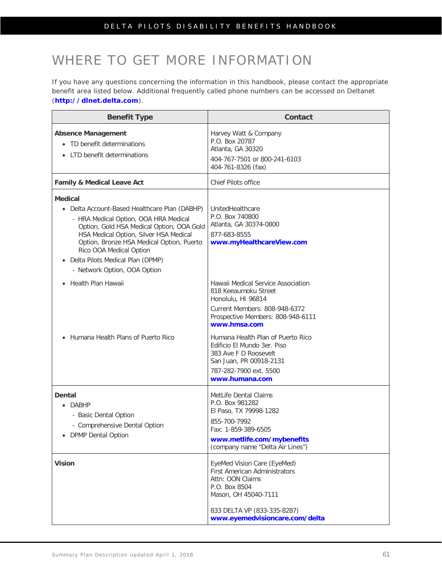# WHERE TO GET MORE INFORMATION

If you have any questions concerning the information in this handbook, please contact the appropriate benefit area listed below. Additional frequently called phone numbers can be accessed on Deltanet (**[http://dlnet.delta.com](http://dlnet.delta.com/)**).

| <b>Benefit Type</b>                                                                                                                                                                                                                                                                                                                           | <b>Contact</b>                                                                                                                                                                                                                                                                                                                             |
|-----------------------------------------------------------------------------------------------------------------------------------------------------------------------------------------------------------------------------------------------------------------------------------------------------------------------------------------------|--------------------------------------------------------------------------------------------------------------------------------------------------------------------------------------------------------------------------------------------------------------------------------------------------------------------------------------------|
| <b>Absence Management</b><br>• TD benefit determinations<br>• LTD benefit determinations                                                                                                                                                                                                                                                      | Harvey Watt & Company<br>P.O. Box 20787<br>Atlanta, GA 30320<br>404-767-7501 or 800-241-6103<br>404-761-8326 (fax)                                                                                                                                                                                                                         |
| <b>Family &amp; Medical Leave Act</b>                                                                                                                                                                                                                                                                                                         | Chief Pilots office                                                                                                                                                                                                                                                                                                                        |
| <b>Medical</b><br>• Delta Account-Based Healthcare Plan (DABHP)<br>- HRA Medical Option, OOA HRA Medical<br>Option, Gold HSA Medical Option, OOA Gold<br>HSA Medical Option, Silver HSA Medical<br>Option, Bronze HSA Medical Option, Puerto<br>Rico OOA Medical Option<br>• Delta Pilots Medical Plan (DPMP)<br>- Network Option, OOA Option | UnitedHealthcare<br>P.O. Box 740800<br>Atlanta, GA 30374-0800<br>877-683-8555<br>www.myHealthcareView.com                                                                                                                                                                                                                                  |
| • Health Plan Hawaii<br>Humana Health Plans of Puerto Rico                                                                                                                                                                                                                                                                                    | Hawaii Medical Service Association<br>818 Keeaumoku Street<br>Honolulu, HI 96814<br>Current Members: 808-948-6372<br>Prospective Members: 808-948-6111<br>www.hmsa.com<br>Humana Health Plan of Puerto Rico<br>Edificio El Mundo 3er. Piso<br>383 Ave F D Roosevelt<br>San Juan, PR 00918-2131<br>787-282-7900 ext. 5500<br>www.humana.com |
| <b>Dental</b><br>DABHP<br>- Basic Dental Option<br>- Comprehensive Dental Option<br><b>DPMP Dental Option</b>                                                                                                                                                                                                                                 | MetLife Dental Claims<br>P.O. Box 981282<br>El Paso, TX 79998-1282<br>855-700-7992<br>Fax: 1-859-389-6505<br>www.metlife.com/mybenefits<br>(company name "Delta Air Lines")                                                                                                                                                                |
| <b>Vision</b>                                                                                                                                                                                                                                                                                                                                 | EyeMed Vision Care (EyeMed)<br><b>First American Administrators</b><br>Attn: OON Claims<br>P.O. Box 8504<br>Mason, OH 45040-7111<br>833 DELTA VP (833-335-8287)<br>www.eyemedvisioncare.com/delta                                                                                                                                          |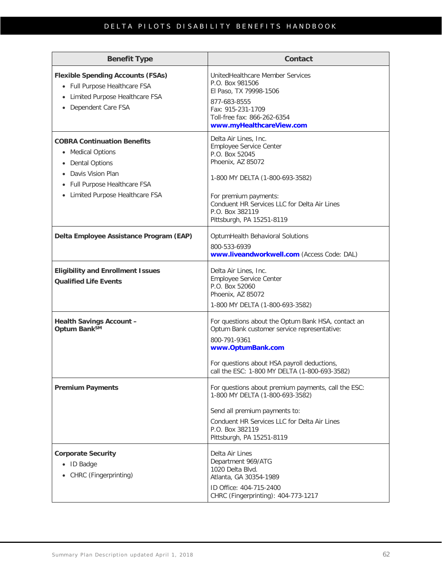| <b>Benefit Type</b>                                                                                                                                                   | Contact                                                                                                                                                                                                                                             |
|-----------------------------------------------------------------------------------------------------------------------------------------------------------------------|-----------------------------------------------------------------------------------------------------------------------------------------------------------------------------------------------------------------------------------------------------|
| <b>Flexible Spending Accounts (FSAs)</b><br>• Full Purpose Healthcare FSA<br>Limited Purpose Healthcare FSA<br>$\bullet$<br>• Dependent Care FSA                      | UnitedHealthcare Member Services<br>P.O. Box 981506<br>El Paso, TX 79998-1506<br>877-683-8555<br>Fax: 915-231-1709<br>Toll-free fax: 866-262-6354<br>www.myHealthcareView.com                                                                       |
| <b>COBRA Continuation Benefits</b><br>• Medical Options<br>• Dental Options<br>Davis Vision Plan<br>• Full Purpose Healthcare FSA<br>• Limited Purpose Healthcare FSA | Delta Air Lines, Inc.<br>Employee Service Center<br>P.O. Box 52045<br>Phoenix, AZ 85072<br>1-800 MY DELTA (1-800-693-3582)<br>For premium payments:<br>Conduent HR Services LLC for Delta Air Lines<br>P.O. Box 382119<br>Pittsburgh, PA 15251-8119 |
| Delta Employee Assistance Program (EAP)                                                                                                                               | OptumHealth Behavioral Solutions<br>800-533-6939<br>www.liveandworkwell.com (Access Code: DAL)                                                                                                                                                      |
| <b>Eligibility and Enrollment Issues</b><br><b>Qualified Life Events</b>                                                                                              | Delta Air Lines, Inc.<br>Employee Service Center<br>P.O. Box 52060<br>Phoenix, AZ 85072<br>1-800 MY DELTA (1-800-693-3582)                                                                                                                          |
| <b>Health Savings Account -</b><br>Optum Bank <sup>SM</sup>                                                                                                           | For questions about the Optum Bank HSA, contact an<br>Optum Bank customer service representative:<br>800-791-9361<br>www.OptumBank.com<br>For questions about HSA payroll deductions,<br>call the ESC: 1-800 MY DELTA (1-800-693-3582)              |
| <b>Premium Payments</b>                                                                                                                                               | For questions about premium payments, call the ESC:<br>1-800 MY DELTA (1-800-693-3582)<br>Send all premium payments to:<br>Conduent HR Services LLC for Delta Air Lines<br>P.O. Box 382119<br>Pittsburgh, PA 15251-8119                             |
| <b>Corporate Security</b><br>• ID Badge<br>• CHRC (Fingerprinting)                                                                                                    | Delta Air Lines<br>Department 969/ATG<br>1020 Delta Blvd.<br>Atlanta, GA 30354-1989<br>ID Office: 404-715-2400<br>CHRC (Fingerprinting): 404-773-1217                                                                                               |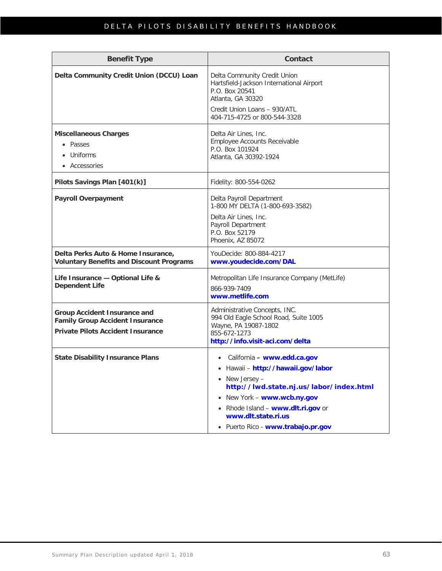| <b>Benefit Type</b>                                                                                                       | Contact                                                                                                                                                                                                                                                          |  |
|---------------------------------------------------------------------------------------------------------------------------|------------------------------------------------------------------------------------------------------------------------------------------------------------------------------------------------------------------------------------------------------------------|--|
| Delta Community Credit Union (DCCU) Loan                                                                                  | Delta Community Credit Union<br>Hartsfield-Jackson International Airport<br>P.O. Box 20541<br>Atlanta, GA 30320<br>Credit Union Loans - 930/ATL<br>404-715-4725 or 800-544-3328                                                                                  |  |
| <b>Miscellaneous Charges</b><br>• Passes<br>Uniforms<br>• Accessories                                                     | Delta Air Lines, Inc.<br>Employee Accounts Receivable<br>P.O. Box 101924<br>Atlanta, GA 30392-1924                                                                                                                                                               |  |
| Pilots Savings Plan [401(k)]                                                                                              | Fidelity: 800-554-0262                                                                                                                                                                                                                                           |  |
| <b>Payroll Overpayment</b>                                                                                                | Delta Payroll Department<br>1-800 MY DELTA (1-800-693-3582)<br>Delta Air Lines, Inc.<br>Payroll Department<br>P.O. Box 52179<br>Phoenix, AZ 85072                                                                                                                |  |
| Delta Perks Auto & Home Insurance,<br><b>Voluntary Benefits and Discount Programs</b>                                     | YouDecide: 800-884-4217<br>www.youdecide.com/DAL                                                                                                                                                                                                                 |  |
| Life Insurance - Optional Life &<br><b>Dependent Life</b>                                                                 | Metropolitan Life Insurance Company (MetLife)<br>866-939-7409<br>www.metlife.com                                                                                                                                                                                 |  |
| <b>Group Accident Insurance and</b><br><b>Family Group Accident Insurance</b><br><b>Private Pilots Accident Insurance</b> | Administrative Concepts, INC.<br>994 Old Eagle School Road, Suite 1005<br>Wayne, PA 19087-1802<br>855-672-1273<br>http://info.visit-aci.com/delta                                                                                                                |  |
| <b>State Disability Insurance Plans</b>                                                                                   | California - www.edd.ca.gov<br>· Hawaii - http://hawaii.gov/labor<br>• New Jersey -<br>http://lwd.state.nj.us/labor/index.html<br>• New York - www.wcb.ny.gov<br>• Rhode Island - www.dlt.ri.gov or<br>www.dlt.state.ri.us<br>· Puerto Rico - www.trabajo.pr.gov |  |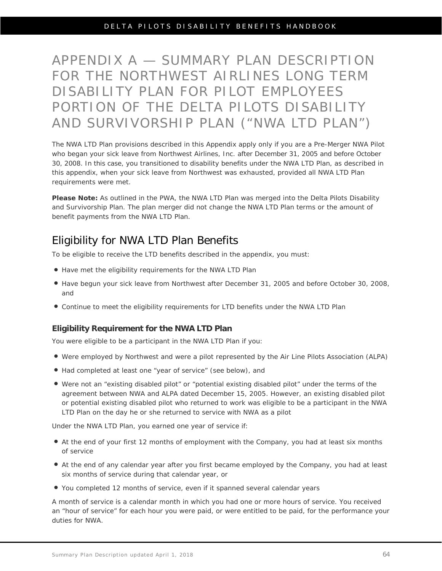# APPENDIX A — SUMMARY PLAN DESCRIPTION FOR THE NORTHWEST AIRLINES LONG TERM DISABILITY PLAN FOR PILOT EMPLOYEES PORTION OF THE DELTA PILOTS DISABILITY AND SURVIVORSHIP PLAN ("NWA LTD PLAN")

The NWA LTD Plan provisions described in this Appendix apply only if you are a Pre-Merger NWA Pilot who began your sick leave from Northwest Airlines, Inc. after December 31, 2005 and before October 30, 2008. In this case, you transitioned to disability benefits under the NWA LTD Plan, as described in this appendix, when your sick leave from Northwest was exhausted, provided all NWA LTD Plan requirements were met.

**Please Note:** As outlined in the PWA, the NWA LTD Plan was merged into the Delta Pilots Disability and Survivorship Plan. The plan merger did not change the NWA LTD Plan terms or the amount of benefit payments from the NWA LTD Plan.

### Eligibility for NWA LTD Plan Benefits

To be eligible to receive the LTD benefits described in the appendix, you must:

- Have met the eligibility requirements for the NWA LTD Plan
- Have begun your sick leave from Northwest after December 31, 2005 and before October 30, 2008, and
- Continue to meet the eligibility requirements for LTD benefits under the NWA LTD Plan

#### **Eligibility Requirement for the NWA LTD Plan**

You were eligible to be a participant in the NWA LTD Plan if you:

- Were employed by Northwest and were a pilot represented by the Air Line Pilots Association (ALPA)
- Had completed at least one "year of service" (see below), and
- Were not an "existing disabled pilot" or "potential existing disabled pilot" under the terms of the agreement between NWA and ALPA dated December 15, 2005. However, an existing disabled pilot or potential existing disabled pilot who returned to work was eligible to be a participant in the NWA LTD Plan on the day he or she returned to service with NWA as a pilot

Under the NWA LTD Plan, you earned one year of service if:

- At the end of your first 12 months of employment with the Company, you had at least six months of service
- At the end of any calendar year after you first became employed by the Company, you had at least six months of service during that calendar year, or
- You completed 12 months of service, even if it spanned several calendar years

A month of service is a calendar month in which you had one or more hours of service. You received an "hour of service" for each hour you were paid, or were entitled to be paid, for the performance your duties for NWA.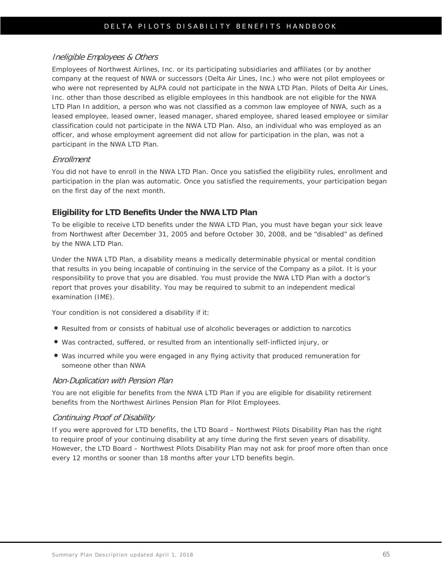#### Ineligible Employees & Others

Employees of Northwest Airlines, Inc. or its participating subsidiaries and affiliates (or by another company at the request of NWA or successors (Delta Air Lines, Inc.) who were not pilot employees or who were not represented by ALPA could not participate in the NWA LTD Plan. Pilots of Delta Air Lines, Inc. other than those described as eligible employees in this handbook are not eligible for the NWA LTD Plan In addition, a person who was not classified as a common law employee of NWA, such as a leased employee, leased owner, leased manager, shared employee, shared leased employee or similar classification could not participate in the NWA LTD Plan. Also, an individual who was employed as an officer, and whose employment agreement did not allow for participation in the plan, was not a participant in the NWA LTD Plan.

#### Enrollment

You did not have to enroll in the NWA LTD Plan. Once you satisfied the eligibility rules, enrollment and participation in the plan was automatic. Once you satisfied the requirements, your participation began on the first day of the next month.

#### **Eligibility for LTD Benefits Under the NWA LTD Plan**

To be eligible to receive LTD benefits under the NWA LTD Plan, you must have began your sick leave from Northwest after December 31, 2005 and before October 30, 2008, and be "disabled" as defined by the NWA LTD Plan.

Under the NWA LTD Plan, a disability means a medically determinable physical or mental condition that results in you being incapable of continuing in the service of the Company as a pilot. It is your responsibility to prove that you are disabled. You must provide the NWA LTD Plan with a doctor's report that proves your disability. You may be required to submit to an independent medical examination (IME).

Your condition is not considered a disability if it:

- Resulted from or consists of habitual use of alcoholic beverages or addiction to narcotics
- Was contracted, suffered, or resulted from an intentionally self-inflicted injury, or
- Was incurred while you were engaged in any flying activity that produced remuneration for someone other than NWA

#### Non-Duplication with Pension Plan

You are not eligible for benefits from the NWA LTD Plan if you are eligible for disability retirement benefits from the Northwest Airlines Pension Plan for Pilot Employees.

#### Continuing Proof of Disability

If you were approved for LTD benefits, the LTD Board – Northwest Pilots Disability Plan has the right to require proof of your continuing disability at any time during the first seven years of disability. However, the LTD Board – Northwest Pilots Disability Plan may not ask for proof more often than once every 12 months or sooner than 18 months after your LTD benefits begin.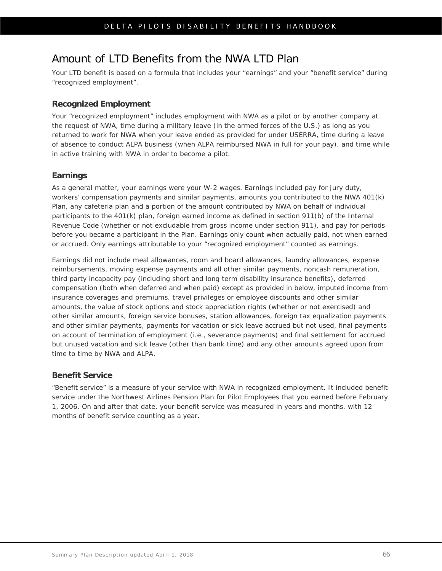### Amount of LTD Benefits from the NWA LTD Plan

Your LTD benefit is based on a formula that includes your "earnings" and your "benefit service" during "recognized employment".

#### **Recognized Employment**

Your "recognized employment" includes employment with NWA as a pilot or by another company at the request of NWA, time during a military leave (in the armed forces of the U.S.) as long as you returned to work for NWA when your leave ended as provided for under USERRA, time during a leave of absence to conduct ALPA business (when ALPA reimbursed NWA in full for your pay), and time while in active training with NWA in order to become a pilot.

#### **Earnings**

As a general matter, your earnings were your W-2 wages. Earnings included pay for jury duty, workers' compensation payments and similar payments, amounts you contributed to the NWA 401(k) Plan, any cafeteria plan and a portion of the amount contributed by NWA on behalf of individual participants to the 401(k) plan, foreign earned income as defined in section 911(b) of the Internal Revenue Code (whether or not excludable from gross income under section 911), and pay for periods before you became a participant in the Plan. Earnings only count when actually paid, not when earned or accrued. Only earnings attributable to your "recognized employment" counted as earnings.

Earnings did not include meal allowances, room and board allowances, laundry allowances, expense reimbursements, moving expense payments and all other similar payments, noncash remuneration, third party incapacity pay (including short and long term disability insurance benefits), deferred compensation (both when deferred and when paid) except as provided in below, imputed income from insurance coverages and premiums, travel privileges or employee discounts and other similar amounts, the value of stock options and stock appreciation rights (whether or not exercised) and other similar amounts, foreign service bonuses, station allowances, foreign tax equalization payments and other similar payments, payments for vacation or sick leave accrued but not used, final payments on account of termination of employment (i.e., severance payments) and final settlement for accrued but unused vacation and sick leave (other than bank time) and any other amounts agreed upon from time to time by NWA and ALPA.

#### **Benefit Service**

"Benefit service" is a measure of your service with NWA in recognized employment. It included benefit service under the Northwest Airlines Pension Plan for Pilot Employees that you earned before February 1, 2006. On and after that date, your benefit service was measured in years and months, with 12 months of benefit service counting as a year.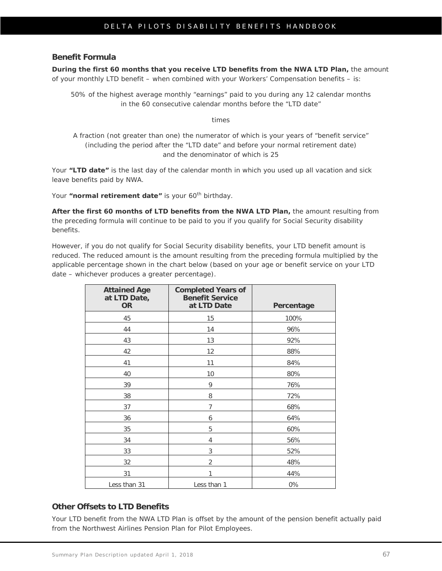#### **Benefit Formula**

**During the first 60 months that you receive LTD benefits from the NWA LTD Plan,** the amount of your monthly LTD benefit – when combined with your Workers' Compensation benefits – is:

50% of the highest average monthly "earnings" paid to you during any 12 calendar months in the 60 consecutive calendar months before the "LTD date"

*times*

A fraction (not greater than one) the numerator of which is your years of "benefit service" (including the period after the "LTD date" and before your normal retirement date) and the denominator of which is 25

Your **"LTD date"** is the last day of the calendar month in which you used up all vacation and sick leave benefits paid by NWA.

Your "normal retirement date" is your 60<sup>th</sup> birthday.

**After the first 60 months of LTD benefits from the NWA LTD Plan,** the amount resulting from the preceding formula will continue to be paid to you if you qualify for Social Security disability benefits.

However, if you do not qualify for Social Security disability benefits, your LTD benefit amount is reduced. The reduced amount is the amount resulting from the preceding formula multiplied by the applicable percentage shown in the chart below (based on your age or benefit service on your LTD date – whichever produces a greater percentage).

| <b>Attained Age</b><br>at LTD Date,<br><b>OR</b> | <b>Completed Years of</b><br><b>Benefit Service</b><br>at LTD Date | Percentage |
|--------------------------------------------------|--------------------------------------------------------------------|------------|
| 45                                               | 15                                                                 | 100%       |
| 44                                               | 14                                                                 | 96%        |
| 43                                               | 13                                                                 | 92%        |
| 42                                               | 12                                                                 | 88%        |
| 41                                               | 11                                                                 | 84%        |
| 40                                               | 10                                                                 | 80%        |
| 39                                               | 9                                                                  | 76%        |
| 38                                               | 8                                                                  | 72%        |
| 37                                               | $\overline{7}$                                                     | 68%        |
| 36                                               | 6                                                                  | 64%        |
| 35                                               | 5                                                                  | 60%        |
| 34                                               | 4                                                                  | 56%        |
| 33                                               | 3                                                                  | 52%        |
| 32                                               | $\overline{2}$                                                     | 48%        |
| 31                                               | 1                                                                  | 44%        |
| Less than 31                                     | Less than 1                                                        | 0%         |

#### **Other Offsets to LTD Benefits**

Your LTD benefit from the NWA LTD Plan is offset by the amount of the pension benefit actually paid from the Northwest Airlines Pension Plan for Pilot Employees.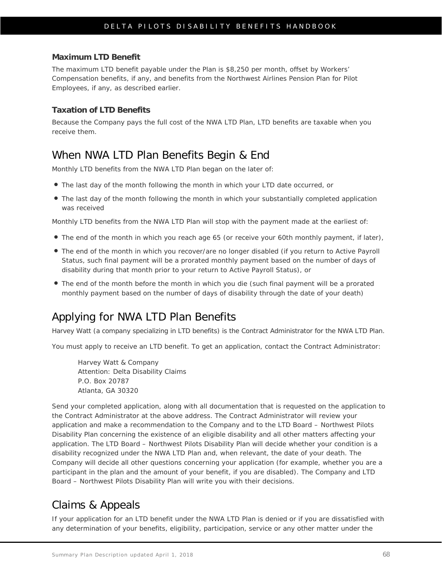#### **Maximum LTD Benefit**

The maximum LTD benefit payable under the Plan is \$8,250 per month, offset by Workers' Compensation benefits, if any, and benefits from the Northwest Airlines Pension Plan for Pilot Employees, if any, as described earlier.

#### **Taxation of LTD Benefits**

Because the Company pays the full cost of the NWA LTD Plan, LTD benefits are taxable when you receive them.

### When NWA LTD Plan Benefits Begin & End

Monthly LTD benefits from the NWA LTD Plan began on the later of:

- The last day of the month following the month in which your LTD date occurred, or
- The last day of the month following the month in which your substantially completed application was received

Monthly LTD benefits from the NWA LTD Plan will stop with the payment made at the earliest of:

- The end of the month in which you reach age 65 (or receive your 60th monthly payment, if later),
- The end of the month in which you recover/are no longer disabled (if you return to Active Payroll Status, such final payment will be a prorated monthly payment based on the number of days of disability during that month prior to your return to Active Payroll Status), or
- The end of the month before the month in which you die (such final payment will be a prorated monthly payment based on the number of days of disability through the date of your death)

### Applying for NWA LTD Plan Benefits

Harvey Watt (a company specializing in LTD benefits) is the Contract Administrator for the NWA LTD Plan.

You must apply to receive an LTD benefit. To get an application, contact the Contract Administrator:

Harvey Watt & Company Attention: Delta Disability Claims P.O. Box 20787 Atlanta, GA 30320

Send your completed application, along with all documentation that is requested on the application to the Contract Administrator at the above address. The Contract Administrator will review your application and make a recommendation to the Company and to the LTD Board – Northwest Pilots Disability Plan concerning the existence of an eligible disability and all other matters affecting your application. The LTD Board – Northwest Pilots Disability Plan will decide whether your condition is a disability recognized under the NWA LTD Plan and, when relevant, the date of your death. The Company will decide all other questions concerning your application (for example, whether you are a participant in the plan and the amount of your benefit, if you are disabled). The Company and LTD Board – Northwest Pilots Disability Plan will write you with their decisions.

### Claims & Appeals

If your application for an LTD benefit under the NWA LTD Plan is denied or if you are dissatisfied with any determination of your benefits, eligibility, participation, service or any other matter under the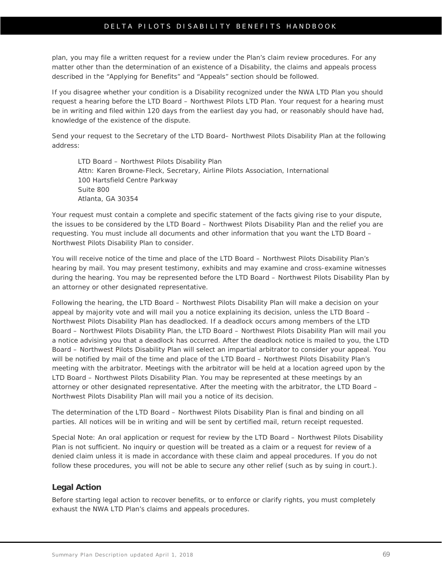## DELTA PILOTS DISABILITY BENEFITS HANDBOOK

plan, you may file a written request for a review under the Plan's claim review procedures. For any matter other than the determination of an existence of a Disability, the claims and appeals process described in the "Applying for Benefits" and "Appeals" section should be followed.

If you disagree whether your condition is a Disability recognized under the NWA LTD Plan you should request a hearing before the LTD Board – Northwest Pilots LTD Plan. Your request for a hearing must be in writing and filed within 120 days from the earliest day you had, or reasonably should have had, knowledge of the existence of the dispute.

Send your request to the Secretary of the LTD Board– Northwest Pilots Disability Plan at the following address:

LTD Board – Northwest Pilots Disability Plan Attn: Karen Browne-Fleck, Secretary, Airline Pilots Association, International 100 Hartsfield Centre Parkway Suite 800 Atlanta, GA 30354

Your request must contain a complete and specific statement of the facts giving rise to your dispute, the issues to be considered by the LTD Board – Northwest Pilots Disability Plan and the relief you are requesting. You must include all documents and other information that you want the LTD Board – Northwest Pilots Disability Plan to consider.

You will receive notice of the time and place of the LTD Board – Northwest Pilots Disability Plan's hearing by mail. You may present testimony, exhibits and may examine and cross-examine witnesses during the hearing. You may be represented before the LTD Board – Northwest Pilots Disability Plan by an attorney or other designated representative.

Following the hearing, the LTD Board – Northwest Pilots Disability Plan will make a decision on your appeal by majority vote and will mail you a notice explaining its decision, unless the LTD Board – Northwest Pilots Disability Plan has deadlocked. If a deadlock occurs among members of the LTD Board – Northwest Pilots Disability Plan, the LTD Board – Northwest Pilots Disability Plan will mail you a notice advising you that a deadlock has occurred. After the deadlock notice is mailed to you, the LTD Board – Northwest Pilots Disability Plan will select an impartial arbitrator to consider your appeal. You will be notified by mail of the time and place of the LTD Board – Northwest Pilots Disability Plan's meeting with the arbitrator. Meetings with the arbitrator will be held at a location agreed upon by the LTD Board – Northwest Pilots Disability Plan. You may be represented at these meetings by an attorney or other designated representative. After the meeting with the arbitrator, the LTD Board – Northwest Pilots Disability Plan will mail you a notice of its decision.

The determination of the LTD Board – Northwest Pilots Disability Plan is final and binding on all parties. All notices will be in writing and will be sent by certified mail, return receipt requested.

Special Note: An oral application or request for review by the LTD Board – Northwest Pilots Disability Plan is not sufficient. No inquiry or question will be treated as a claim or a request for review of a denied claim unless it is made in accordance with these claim and appeal procedures. If you do not follow these procedures, you will not be able to secure any other relief (such as by suing in court.).

## **Legal Action**

Before starting legal action to recover benefits, or to enforce or clarify rights, you must completely exhaust the NWA LTD Plan's claims and appeals procedures.